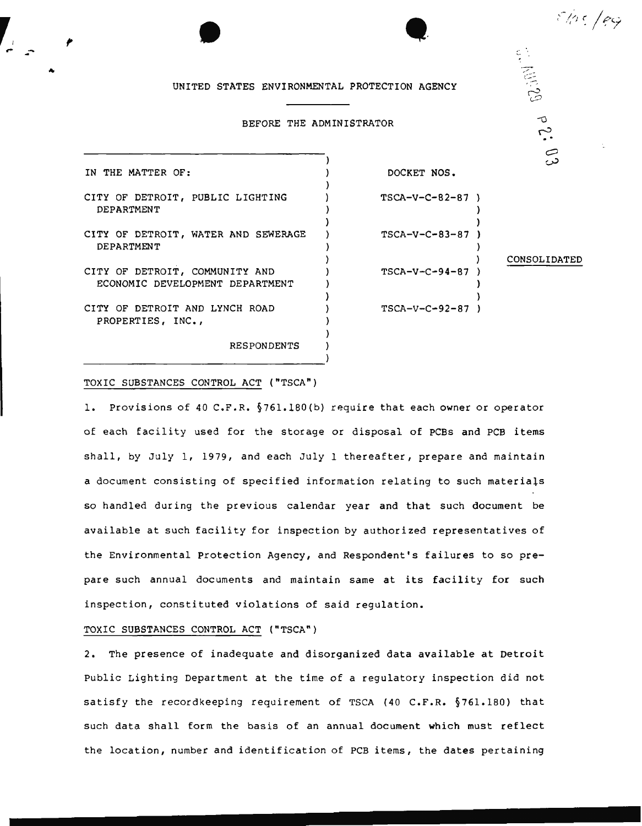#### UNITED STATES ENVIRONMENTAL PROTECTION AGENCY

#### BEFORE THE ADMINISTRATOR

 $\mathcal{E}$ 

DOCKET NOS.

TSCA-V-C-82-87 }

TSCA-V-C-83-87 )

TSCA-V-C-94-87 )

TSCA-V-C-92-87 )

) )

) )

) )

IN THE MATTER OF:  $\lambda$ ١. CITY OF DETROIT, PUBLIC LIGHTING ) DEPARTMENT -1 ) CITY OF DETROIT, WATER AND SEWERAGE ) DEPARTMENT  $\lambda$ ١ CITY OF DETROIT, COMMUNITY AND  $\lambda$ ECONOMIC DEVELOPMENT DEPARTMENT ) J. CITY OF DETROIT AND LYNCH ROAD PROPERTIES, INC., RESPONDENTS

 $, . . .$ 

#### CONSOLIDATED

 $~\tilde{\mathcal{P}}$ 

-o  $\dot{\mathcal{L}}$ ..

 $\mathcal{E}/\rho\mathcal{E}/\rho\mathcal{G}$ 

# TOXIC SUBSTANCES CONTROL ACT ("TSCA")

1. Provisions of 40 C.F.R. §761.180(b) require that each owner or operator of each facility used for the storage or disposal of PCBs and PCB items shall, by July 1, 1979, and each July 1 thereafter, prepare and maintain a document consisting of specified information relating to such materials so handled during the previous calendar year and that such document be available at such facility for inspection by authorized representatives of the Environmental Protection Agency, and Respondent's failures to so prepare such annual documents and maintain same at its facility for such inspection, constituted violations of said regulation.

#### TOXIC SUBSTANCES CONTROL ACT ( "TSCA")

2. The presence of inadequate and disorganized data available at Detroit Public Lighting Department at the time of a regulatory inspection did not satisfy the recordkeeping requirement of TSCA (40 C.F.R. §761.180) that such data shall form the basis of an annual document which must reflect the location, number and identification of PCB items, the dates pertaining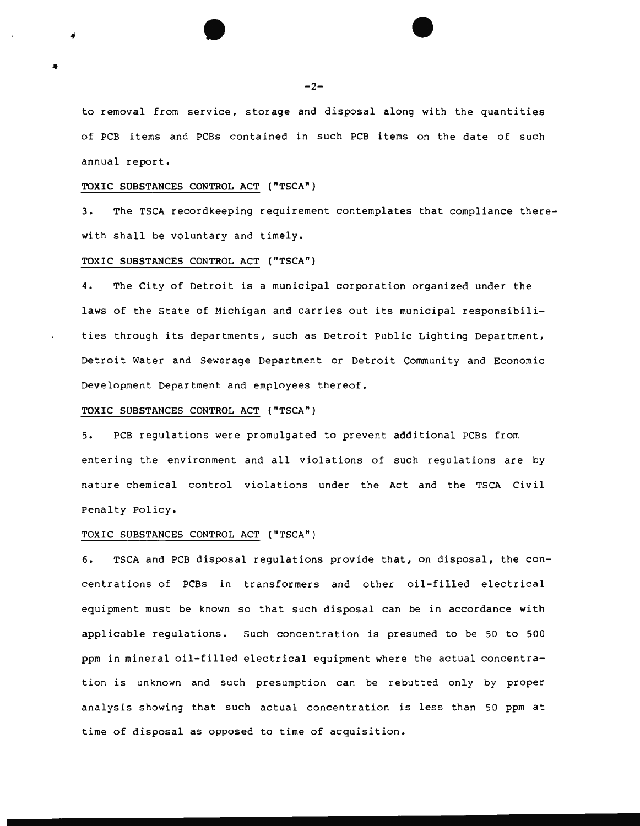to removal from service, storage and disposal along with the quantities of PCB items and PCBs contained in such PCB items on the date of such annual report.

### TOXIC SUBSTANCES CONTROL ACT ("TSCA")

3. The TSCA recordkeeping requirement contemplates that compliance therewith shall be voluntary and timely.

#### TOXIC SUBSTANCES CONTROL ACT ( "TSCA")

4. The City of Detroit is a municipal corporation organized under the laws of the State of Michigan and carries out its municipal responsibilities through its departments, such as Detroit Public Lighting Department, Detroit Water and Sewerage Department or Detroit Community and Economic Development Department and employees thereof.

# TOXIC SUBSTANCES CONTROL ACT ( "TSCA")

5. PCB regulations were promulgated to prevent additional PCBs from entering the environment and all violations of such regulations are by nature chemical control violations under the Act and the TSCA Civil Penalty Policy.

#### TOXIC SUBSTANCES CONTROL ACT ("TSCA")

6. TSCA and PCB disposal regulations provide that, on disposal, the concentrations of PCBs in transformers and other oil-filled electrical equipment must be known so that such disposal can be in accordance with applicable regulations. Such concentration is presumed to be 50 to 500 ppm in mineral oil-filled electrical equipment where the actual concentration is unknown and such presumption can be rebutted only by proper analysis showing that such actual concentration is less than 50 ppm at time of disposal as opposed to time of acquisition.

 $-2-$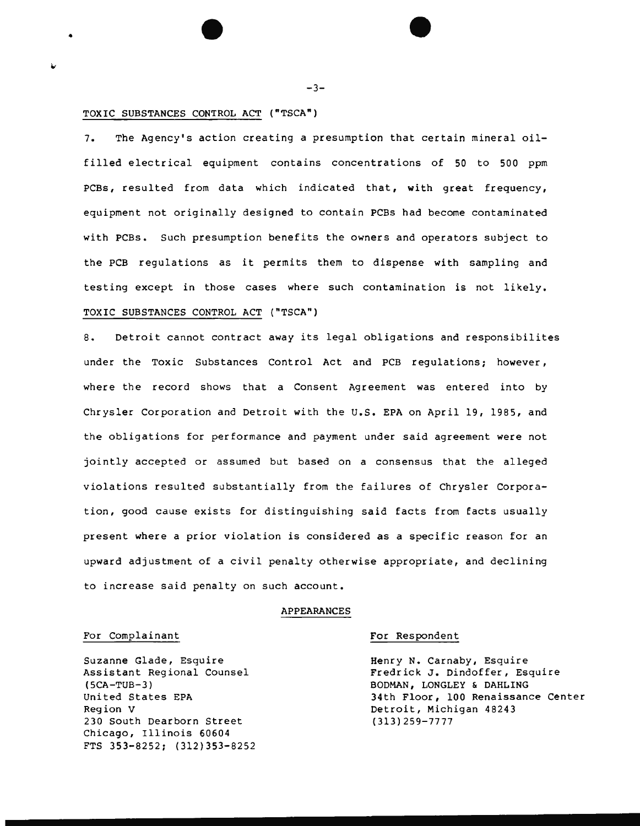### TOXIC SUBSTANCES CONTROL ACT ("TSCA")

7. The Agency's action creating a presumption that certain mineral oilfilled electrical equipment contains concentrations of 50 to 500 ppm PCBs, resulted from data which indicated that, with great frequency, equipment not originally designed to contain PCBs had become contaminated with PCBs. Such presumption benefits the owners and operators subject to the PCB regulations as it permits them to dispense with sampling and testing except in those cases where such contamination is not likely. TOXIC SUBSTANCES CONTROL ACT ( "TSCA")

8. Detroit cannot contract away its legal obligations and responsibilites under the Toxic Substances Control Act and PCB regulations; however, where the record shows that a Consent Agreement was entered into by Chrysler Corporation and Detroit with the u.s. EPA on April 19, 1985, and the obligations for performance and payment under said agreement were not jointly accepted or assumed but based on a consensus that the alleged violations resulted substantially from the failures of Chrysler Corporation, good cause exists for distinguishing said facts from facts usually present where a prior violation is considered as a specific reason for an upward adjustment of a civil penalty otherwise appropriate, and declining to increase said penalty on such account.

#### APPEARANCES

#### For Complainant

Suzanne Glade, Esquire Assistant Regional Counsel (5CA-TUB-3) United States EPA Region V 230 South Dearborn Street Chicago, Illinois 60604 FTS 353-8252; (312) 353-8252

#### For Respondent

Henry N. Carnaby, Esquire Fredrick J. Dindoffer, Esquire BODMAN, LONGLEY & DAHLING 34th Floor, 100 Renaissance Center Detroit, Michigan 48243 (313) 259-7777

 $-3-$ 

 $\bullet$   $\bullet$   $\bullet$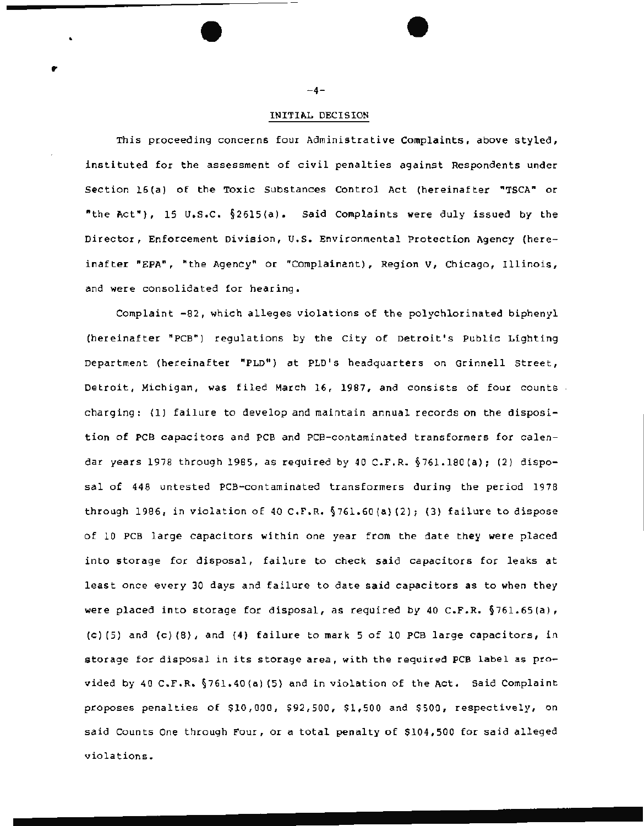#### INITIAL DECISION

 $-4-$ 

•

**•** 

This proceeding concerns four Administrative Complaints, above styled, instituted for the assessment of civil penalties against Respondents under Section 16 (a) of the Toxic Substances Control Act (hereinafter "TSCA" or "the Act"}, 15 u.s.c. §2615(a). Said Complaints were duly issued by the Director, Enforcement Division, u.s. Environmental Protection Agency (hereinafter "EPA", "the Agency" or "Complainant), Region v, Chicago, Illinois, and were consolidated for hearing.

Complaint -82, which alleges violations of the polychlorinated biphenyl (hereinafter "PCB") regulations by the City of Detroit's Public Lighting Department (hereinafter "PLD") at PLD's headquarters on Grinnell Street, Detroit, Michigan, was filed March 16, 1987, and consists of four counts charging: (1) failure to develop and maintain annual records on the disposition of PCB capacitors and PCB and PCB-contaminated transformers for calendar years 1978 through 1985, as required by 40 C.F.R. §761.180(a); (2) disposal of 448 untested PCB-contaminated transformers during the period 1978 through 1986, in violation of 40 C.F.R.  $\S$ 761.60(a)(2); (3) failure to dispose of 10 PCB large capacitors within one year from the date they were placed into storage for disposal, failure to check said capacitors for leaks at least once every 30 days and failure to date said capacitors as to when they were placed into storage for disposal, as required by 40 C.F.R. §761.65(a), (c) (5) and (c) {8), and (4) failure to mark 5 of 10 PCB large capacitors, in storage for disposal in its storage area, with the required PCB label as provided by 40 C.F.R. §761.40(a) (5) and in violation of the Act. Said Complaint proposes penalties of \$10,000, \$92,500, \$1,500 and \$500, respectively, on said Counts One through Four, or a total penalty of \$104,500 for said alleged violations.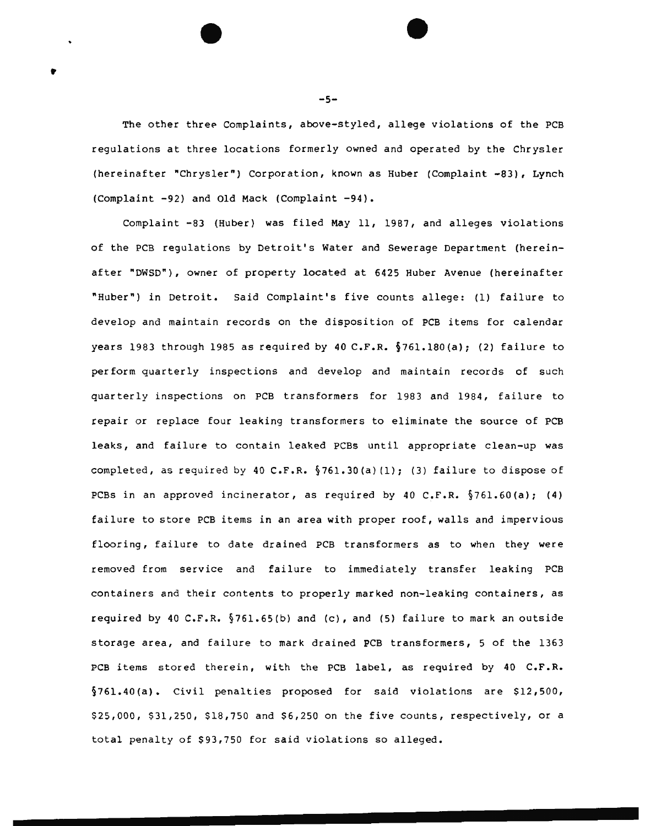The other three Complaints, above-styled, allege violations of the PCB regulations at three locations formerly owned and operated by the Chrysler (hereinafter "Chrysler") Corporation, known as Huber (Complaint -83), Lynch (Complaint -92) and Old Mack (Complaint -94).

Complaint -83 (Huber) was filed May 11, 1987, and alleges violations of the PCB regulations by Detroit's Water and Sewerage Department (hereinafter "DWSD"), owner of property located at 6425 Huber Avenue (hereinafter "Huber") in Detroit. Said Complaint's five counts allege: (1) failure to develop and maintain records on the disposition of PCB items for calendar years 1983 through 1985 as required by 40 C.F.R. §761.180(a); (2) failure to perform quarterly inspections and develop and maintain records of such quarterly inspections on PCB transformers for 1983 and 1984, failure to repair or replace four leaking transformers to eliminate the source of PCB leaks, and failure to contain leaked PCBS until appropriate clean-up was completed, as required by 40 C.F.R.  $\S$ 761.30(a)(1); (3) failure to dispose of PCBs in an approved incinerator, as required by 40 C.F.R.  $§761.60(a);$  (4) failure to store PCB items in an area with proper roof, walls and impervious flooring, failure to date drained PCB transformers as to when they were removed from service and failure to immediately transfer leaking PCB containers and their contents to properly marked non-leaking containers, as required by 40 C.F.R.  $\S$ 761.65(b) and (c), and (5) failure to mark an outside storage area, and failure to mark drained PCB transformers, 5 of the 1363 PCB items stored therein, with the PCB label, as required by 40 C.F.R. §761.40(a). Civil penalties proposed for said violations are \$12,500, \$25,000, \$31,250, \$18,750 and \$6,250 on the five counts, respectively, or a total penalty of \$93,750 for said violations so alleged.

 $-5-$ 

 $\bullet$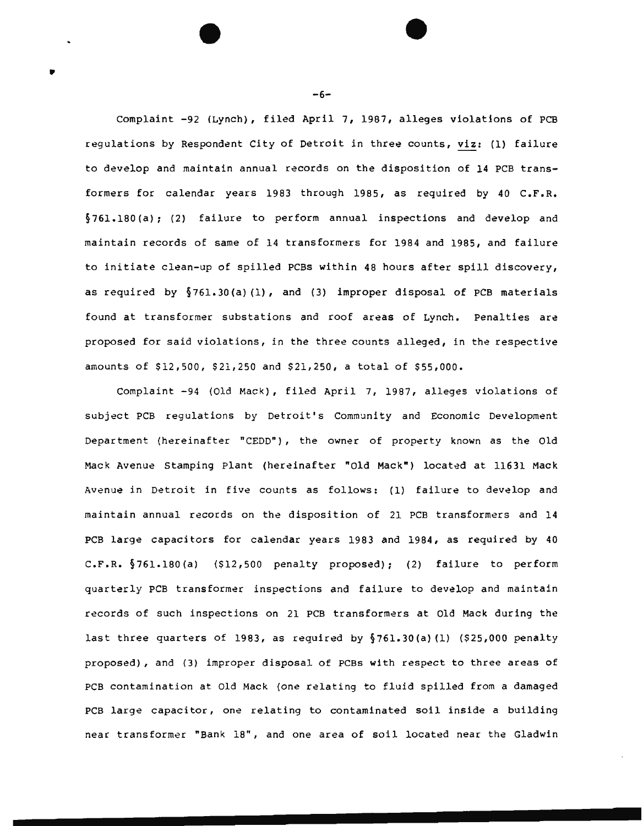Complaint -92 (Lynch), filed April 7, 1987, alleges violations of PCB regulations by Respondent City of Detroit in three counts, viz: (1) failure to develop and maintain annual records on the disposition of 14 PCB transformers for calendar years 1983 through 1985, as required by 40 C.F.R.  $§761.180(a);$  (2) failure to perform annual inspections and develop and maintain records of same of 14 transformers for 1984 and 1985, and failure to initiate clean-up of spilled PCBs within 48 hours after spill discovery, as required by  $$761.30(a)$  (1), and (3) improper disposal of PCB materials found at transformer substations and roof areas of Lynch. Penalties are proposed for said violations, in the three counts alleged, in the respective amounts of \$12,500, \$21,250 and \$21,250, a total of \$55,000.

Complaint -94 (Old Mack), filed April 7, 1987, alleges violations of subject PCB regulations by Detroit's Community and Economic Development Department (hereinafter "CEDD"), the owner of property known as the Old Mack Avenue Stamping Plant (hereinafter "Old Mack") located at 11631 Mack Avenue in Detroit in five counts as follows: (l) failure to develop and maintain annual records on the disposition of 21 PCB transformers and 14 PCB large capacitors for calendar years 1983 and 1984, as required by 40 C.F.R.  $$761.180(a)$  (\$12,500 penalty proposed); (2) failure to perform quarterly PCB transformer inspections and failure to develop and maintain records of such inspections on 21 PCB transformers at Old Mack during the last three quarters of 1983, as required by §761.30(a) (1) (\$25,000 penalty proposed), and (3) improper disposal of PCBs with respect to three areas of PCB contamination at Old Mack (one relating to fluid spilled from a damaged PCB large capacitor, one relating to contaminated soil inside a building near transformer "Bank 18", and one area of soil located near the Gladwin

-6-

 $\bullet$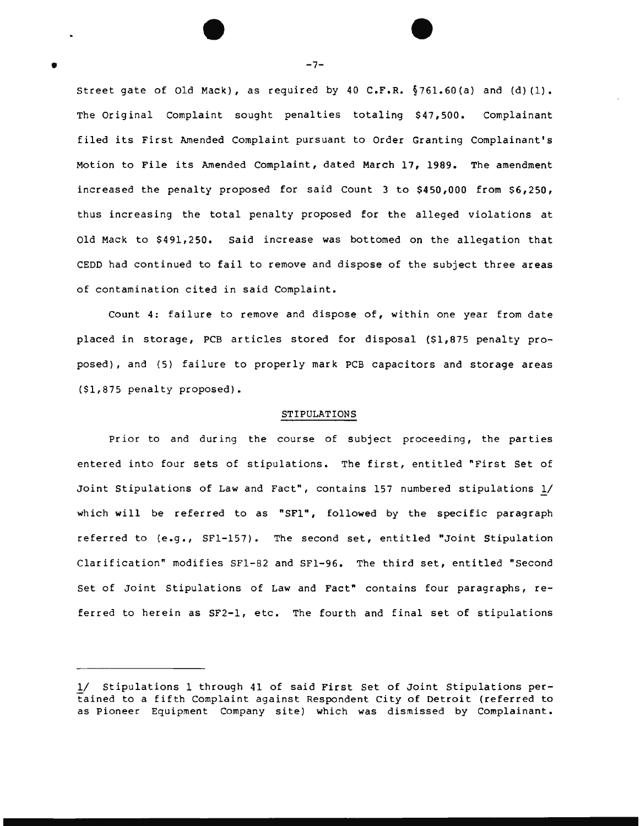Street gate of Old Mack), as required by 40 C.F.R.  $§761.60(a)$  and (d)(1). The Original Complaint sought penalties totaling \$47,500. Complainant filed its First Amended Complaint pursuant to Order Granting Complainant's Motion to File its Amended Complaint, dated March 17, 1989. The amendment increased the penalty proposed for said Count 3 to \$450,000 from \$6,250, thus increasing the total penalty proposed for the alleged violations at Old Mack to \$491,250. Said increase was bottomed on the allegation that CEDD had continued to fail to remove and dispose of the subject three areas of contamination cited in said Complaint.

Count 4: failure to remove and dispose of, within one year from date placed in storage, PCB articles stored for disposal (\$1,875 penalty proposed), and (5) failure to properly mark PCB capacitors and storage areas (\$1,875 penalty proposed).

#### STIPULATIONS

Prior to and during the course of subject proceeding, the parties entered into four sets of stipulations. The first, entitled "First Set of Joint Stipulations of Law and Fact", contains 157 numbered stipulations *11*  which will be referred to as "SFl", followed by the specific paragraph referred to (e.g., SFl-157). The second set, entitled "Joint Stipulation Clarification" modifies SFl-82 and SFl-96. The third set, entitled "Second Set of Joint Stipulations of Law and Fact" contains four paragraphs, referred to herein as SF2-l, etc. The fourth and final set of stipulations

 $\bullet$   $\bullet$ -7-

<sup>1/</sup> Stipulations 1 through 41 of said First Set of Joint Stipulations pertained to a fifth Complaint against Respondent City of Detroit (referred to as Pioneer Equipment Company site) which was dismissed by Complainant.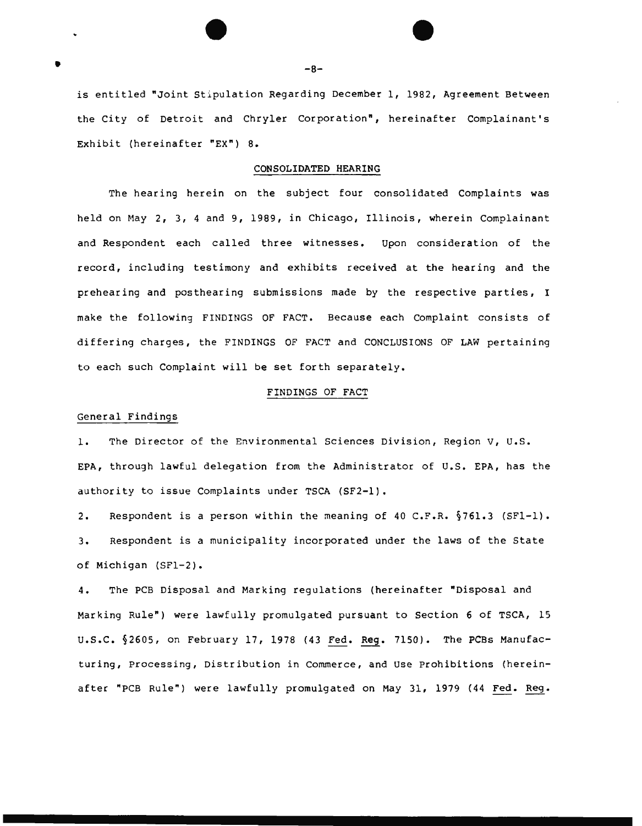is entitled "Joint Stipulation Regarding December 1, 1982, Agreement Between the City of Detroit and Chryler Corporation", hereinafter Complainant's Exhibit (hereinafter "EX") 8.

#### CONSOLIDATED HEARING

The hearing herein on the subject four consolidated Complaints was held on May 2, 3, 4 and 9, 1989, in Chicago, Illinois, wherein Complainant and Respondent each called three witnesses. Upon consideration of the record, including testimony and exhibits received at the hearing and the prehearing and posthearing submissions made by the respective parties, I make the following FINDINGS OF FACT. Because each Complaint consists of differing charges, the FINDINGS OF FACT and CONCLUSIONS OF LAW pertaining to each such Complaint will be set forth separately.

#### FINDINGS OF FACT

#### General Findings

•

1. The Director of the Environmental Sciences Division, Region v, u.s. EPA, through lawful delegation from the Administrator of u.s. EPA, has the authority to issue Complaints under TSCA (SF2-l).

2. Respondent is a person within the meaning of 40 C.F.R. §761.3 (SF1-1). 3. Respondent is a municipality incorporated under the laws of the State of Michigan (SFl-2).

4. The PCB Disposal and Marking regulations (hereinafter "Disposal and Marking Rule") were lawfully promulgated pursuant to section 6 of TSCA, 15 u.s.c. §2605, on February 17, 1978 (43 Fed. Reg. 7150). The PCBs Manufacturing, Processing, Distribution in Commerce, and Use Prohibitions (hereinafter "PCB Rule") were lawfully promulgated on May 31, 1979 (44 Fed. Reg.

 $\bullet$   $\bullet$   $\bullet$   $\bullet$ -8-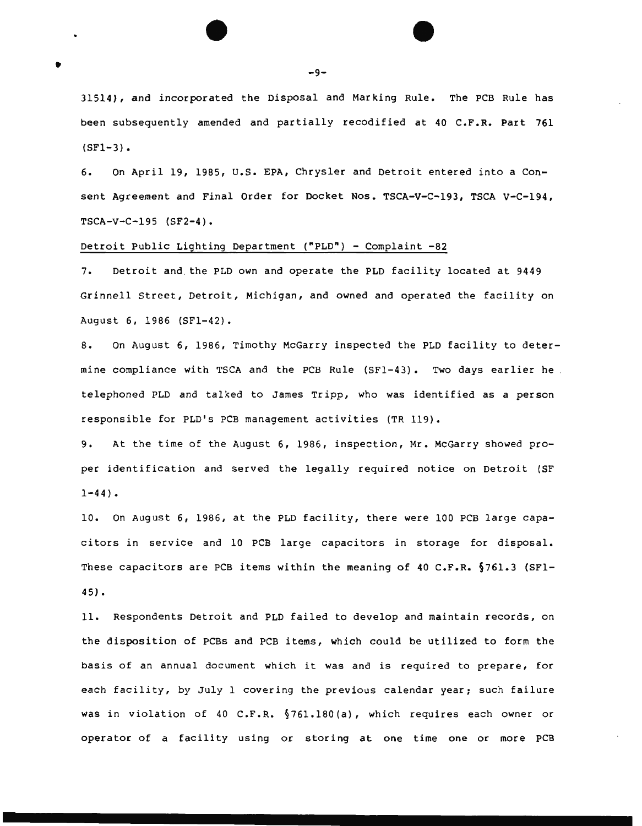31514), and incorporated the Disposal and Marking Rule. The PCB Rule has been subsequently amended and partially recodified at 40 C.F.R. Part 761  $(SF1-3)$ .

6. On April 19, 1985, u.s. EPA, Chrysler and Detroit entered into a Consent Agreement and Final Order for Docket Nos. TSCA-V-C-193, TSCA V-C-194, TSCA-V-C-195 (SF2-4).

#### Detroit Public Lighting Department ("PLD") - Complaint -82

•

7. Detroit and the PLD own and operate the PLD facility located at 9449 Grinnell Street, Detroit, Michigan, and owned and operated the facility on August 6, 1986 (SFl-42).

8. On August 6, 1986, Timothy McGarry inspected the PLD facility to determine compliance with TSCA and the PCB Rule (SF1-43). Two days earlier he telephoned PLD and talked to James Tripp, who was identified as a person responsible for PLD's PCB management activities (TR 119).

9. At the time of the August 6, 1986, inspection, Mr. McGarry showed proper identification and served the legally required notice on Detroit (SF  $1-44$ ).

10. On August 6, 1986, at the PLD facility, there were 100 PCB large capacitors in service and 10 PCB large capacitors in storage for disposal. These capacitors are PCB items within the meaning of 40 C.F.R. §761.3 (SFl- $45$ .

11. Respondents Detroit and PLD failed to develop and maintain records, on the disposition of PCBs and PCB items, which could be utilized to form the basis of an annual document which it was and is required to prepare, for each facility, by July 1 covering the previous calendar year; such failure was in violation of 40 C.F.R. §761.180 (a), which requires each owner or operator of a facility using or storing at one time one or more PCB

 $\bullet$   $\bullet$ -9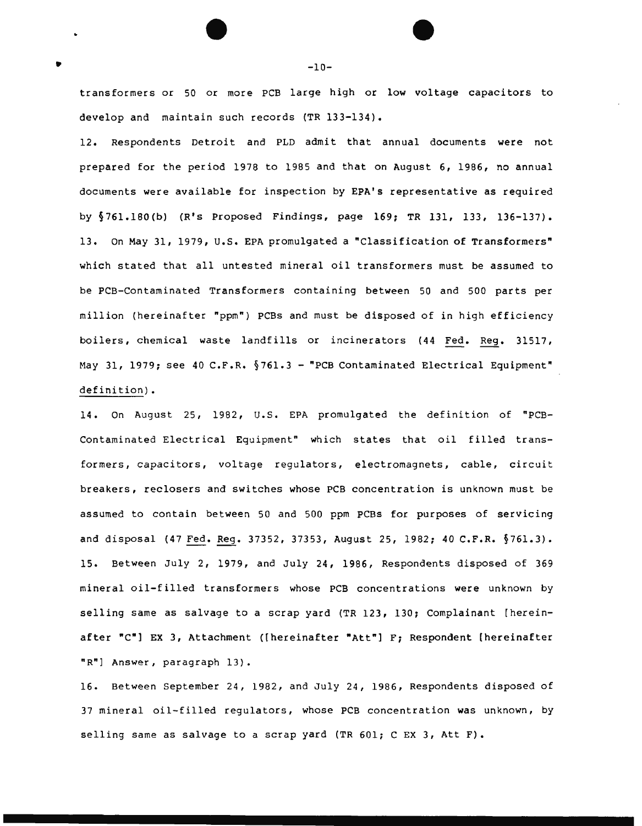transformers or 50 or more PCB large high or low voltage capacitors to develop and maintain such records (TR 133-134).

12. Respondents Detroit and PLD admit that annual documents were not prepared for the period 1978 to 1985 and that on August 6, 1986, no annual documents were available for inspection by EPA's representative as required by  $§761.180(b)$  (R's Proposed Findings, page 169; TR 131, 133, 136-137). 13. On May 31, 1979, u.s. EPA promulgated a "Classification of Transformers" which stated that all untested mineral oil transformers must be assumed to be PCB-Contaminated Transformers containing between 50 and 500 parts per million (hereinafter "ppm") PCBs and must be disposed of in high efficiency boilers, chemical waste landfills or incinerators ( 44 Fed. Reg. 31517, May 31, 1979; see 40 C.F.R. §761.3 - "PCB Contaminated Electrical Equipment" definition).

14. On August 25, 1982, u.s. EPA promulgated the definition of "PCB-Contaminated Electrical Equipment" which states that oil filled transformers, capacitors, voltage regulators, electromagnets, cable, circuit breakers, reclosers and switches whose PCB concentration is unknown must be assumed to contain between 50 and 500 ppm PCBs for purposes of servicing and disposal (47 Fed. Reg. 37352, 37353, August 25, 1982; 40 C.F.R. §761.3). 15. Between July 2, 1979, and July 24, 1986, Respondents disposed of 369 mineral oil-filled transformers whose PCB concentrations were unknown by selling same as salvage to a scrap yard (TR 123, 130; Complainant [hereinafter "C"] EX 3, Attachment ((hereinafter "Att"] F; Respondent (hereinafter "R"] Answer, paragraph 13).

16. Between September 24, 1982, and July 24, 1986, Respondents disposed of 37 mineral oil-filled regulators, whose PCB concentration was unknown, by selling same as salvage to a scrap yard (TR 601; C EX 3, Att F).

 $\bullet$   $\bullet$   $\bullet$   $\bullet$  $-10-$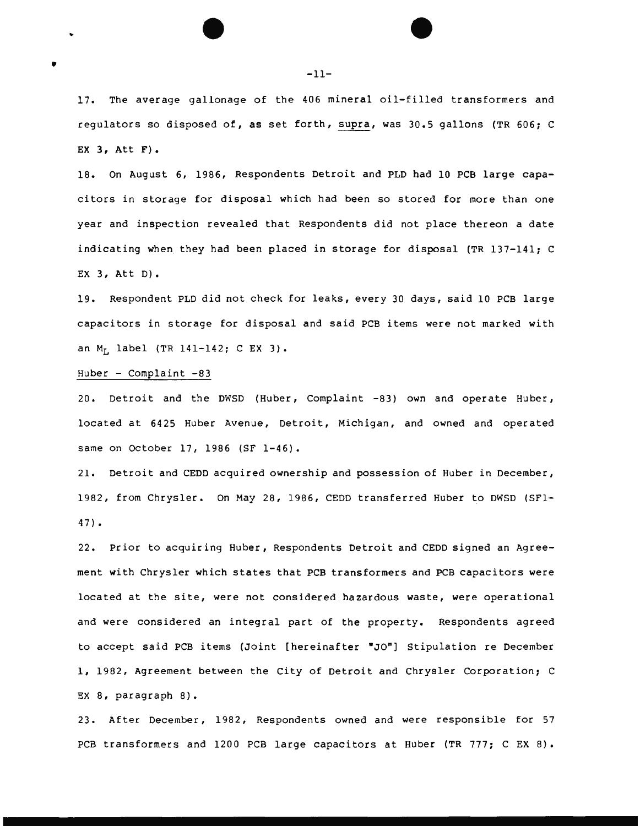17. The average gallonage of the 406 mineral oil-filled transformers and regulators so disposed of, as set forth, supra, was 30.5 gallons (TR 606: c EX  $3$ , Att  $F$ ).

18. On August 6, 1986, Respondents Detroit and PLD had 10 PCB large capacitors in storage for disposal which had been so stored for more than one year and inspection revealed that Respondents did not place thereon a date indicating when they had been placed in storage for disposal (TR 137-141: C EX  $3$ , Att  $D$ ).

19. Respondent PLD did not check for leaks, every 30 days, said 10 PCB large capacitors in storage for disposal and said PCB items were not marked with an  $M_L$  label (TR 141-142; C EX 3).

 $Huber - Complaint -83$ 

•

•

20. Detroit and the DWSD (Huber, Complaint -83) own and operate Huber, located at 6425 Huber Avenue, Detroit, Michigan, and owned and operated same on October 17, 1986 (SF l-46).

21. Detroit and CEDD acquired ownership and possession of Huber in December, 1982, from Chrysler. On May 28, 1986, CEDD transferred Huber to DWSD (SFl- $47$ ).

22. Prior to acquiring Huber, Respondents Detroit and CEDD signed an Agreement with Chrysler which states that PCB transformers and PCB capacitors were located at the site, were not considered hazardous waste, were operational and were considered an integral part of the property. Respondents agreed to accept said PCB items (Joint [hereinafter "JO"] Stipulation re December 1, 1982, Agreement between the City of Detroit and Chrysler Corporation: C EX 8, paragraph 8).

23. After December, 1982, Respondents owned and were responsible for 57 PCB transformers and 1200 PCB large capacitors at Huber (TR 777; C EX 8).

 $\bullet$ -11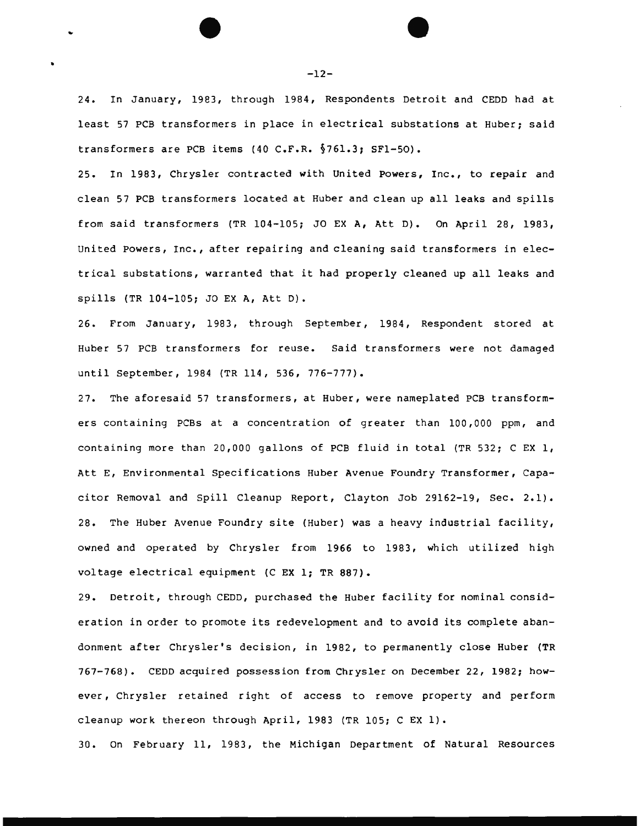24. In January, 1983, through 1984, Respondents Detroit and CEDD had at least 57 PCB transformers in place in electrical substations at Huber; said transformers are PCB items (40 C.F.R. §761.3; SFl-50).

25. In 1983, Chrysler contracted with United Powers, Inc., to repair and clean 57 PCB transformers located at Huber and clean up all leaks and spills from said transformers (TR 104-105; JO EX A, Att D). On April 28, 1983, United Powers, Inc., after repairing and cleaning said transformers in electrical substations, warranted that it had properly cleaned up all leaks and spills (TR 104-105; JO EX A, Att D).

26. From January, 1983, through September, 1984, Respondent stored at Huber 57 PCB transformers for reuse. Said transformers were not damaged until September, 1984 (TR 114, 536, 776-777).

27. The aforesaid 57 transformers, at Huber, were nameplated PCB transformers containing PCBs at a concentration of greater than 100,000 ppm, and containing more than 20,000 gallons of PCB fluid in total (TR 532; C EX 1, Att E, Environmental Specifications Huber Avenue Foundry Transformer, Capacitor Removal and Spill Cleanup Report, Clayton Job 29162-19, Sec. 2.1). 28. The Huber Avenue Foundry site (Huber) was a heavy industrial facility, owned and operated by Chrysler from 1966 to 1983, which utilized high voltage electrical equipment (C EX 1; TR 887).

29. Detroit, through CEDD, purchased the Huber facility for nominal consideration in order to promote its redevelopment and to avoid its complete abandonment after Chrysler's decision, in 1982, to permanently close Huber (TR 767-768). CEDD acquired possession from Chrysler on December 22, 1982; however, Chrysler retained right of access to remove property and perform cleanup work thereon through April, 1983 (TR 105; C EX 1).

30. On February ll, 1983, the Michigan Department of Natural Resources

 $\begin{array}{ccc} \cdot & \bullet & \bullet \end{array}$ -12-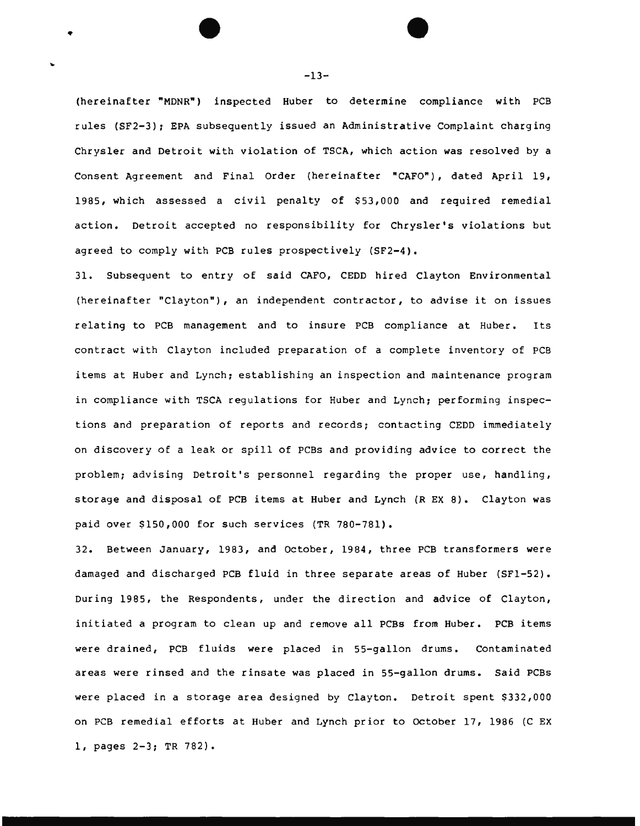(hereinafter "MDNR") inspected Huber to determine compliance with PCB rules (SF2-3): EPA subsequently issued an Administrative Complaint charging Chrysler and Detroit with violation of TSCA, which action was resolved by a Consent Agreement and Final Order (hereinafter "CAFO"), dated April 19, 1985, which assessed a civil penalty of \$53,000 and required remedial action. Detroit accepted no responsibility for Chrysler's violations but agreed to comply with PCB rules prospectively (SF2-4).

31. Subsequent to entry of said CAFO, CEDD hired Clayton Environmental (hereinafter "Clayton"), an independent contractor, to advise it on issues relating to PCB management and to insure PCB compliance at Huber. Its contract with Clayton included preparation of a complete inventory of PCB items at Huber and Lynch: establishing an inspection and maintenance program in compliance with TSCA regulations for Huber and Lynch: performing inspections and preparation of reports and records: contacting CEDD immediately on discovery of a leak or spill of PCBs and providing advice to correct the problem: advising Detroit's personnel regarding the proper use, handling, storage and disposal of PCB items at Huber and Lynch (REX 8). Clayton was paid over \$150,000 for such services (TR 780-781).

32. Between January, 1983, and October, 1984, three PCB transformers were damaged and discharged PCB fluid in three separate areas of Huber (SFl-52). During 1985, the Respondents, under the direction and advice of Clayton, initiated a program to clean up and remove all PCBs from Huber. PCB items were drained, PCB fluids were placed in 55-gallon drums. Contaminated areas were rinsed and the rinsate was placed in 55-gallon drums. Said PCBs were placed in a storage area designed by Clayton. Detroit spent \$332,000 on PCB remedial efforts at Huber and Lynch prior to October 17, 1986 (C EX 1, pages *2-3:* TR 782).

 $\bullet$  $-13-$ 

....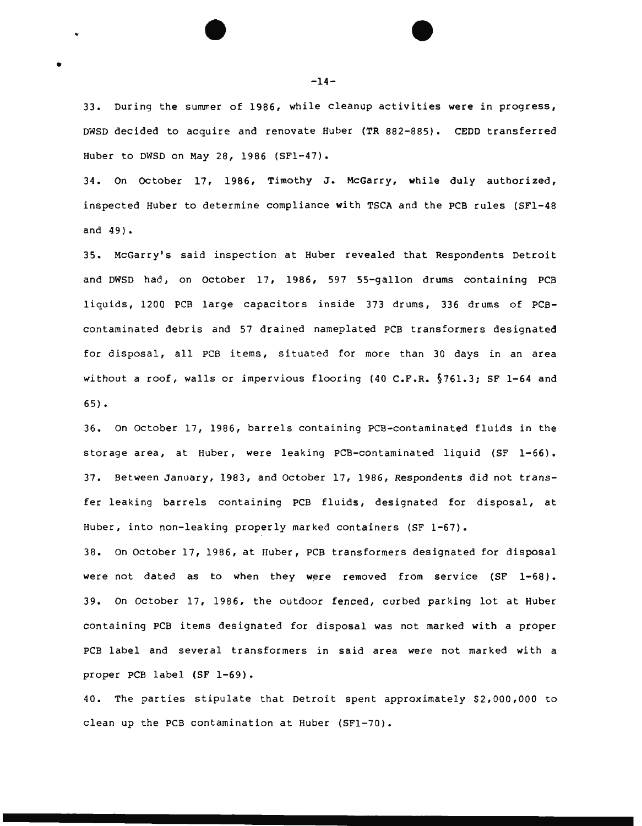33. During the summer of 1986, while cleanup activities were in progress, DWSD decided to acquire and renovate Huber (TR 882-885). CEDD transferred Huber to DWSD on May 28, 1986 (SFl-47).

34. On October 17, 1986, Timothy J. McGarry, while duly authorized, inspected Huber to determine compliance with TSCA and the PCB rules (SFl-48 and 49).

35. McGarry's said inspection at Huber revealed that Respondents Detroit and DWSD had, on October 17, 1986, 597 55-gallon drums containing PCB liquids, 1200 PCB large capacitors inside 373 drums, 336 drums of PCBcontaminated debris and 57 drained nameplated PCB transformers designated for disposal, all PCB items, situated for more than 30 days in an area without a roof, walls or impervious flooring (40 C.F.R. §761.3; SF 1-64 and  $65$ ).

36. On October 17, 1986, barrels containing PCB-contaminated fluids in the storage area, at Huber, were leaking PCB-contaminated liquid (SF 1-66). 37. Between January, 1983, and October 17, 1986, Respondents did not transfer leaking barrels containing PCB fluids, designated for disposal, at Huber, into non-leaking properly marked containers (SF 1-67).

38. On October 17, 1986, at Huber, PCB transformers designated for disposal were not dated as to when they were removed from service (SF 1-68). 39. On October 17, 1986, the outdoor fenced, curbed parking lot at Huber containing PCB items designated for disposal was not marked with a proper PCB label and several transformers in said area were not marked with a proper PCB label (SF 1-69).

40. The parties stipulate that Detroit spent approximately \$2,000,000 to clean up the PCB contamination at Huber (SFl-70).

-14-

 $\bullet$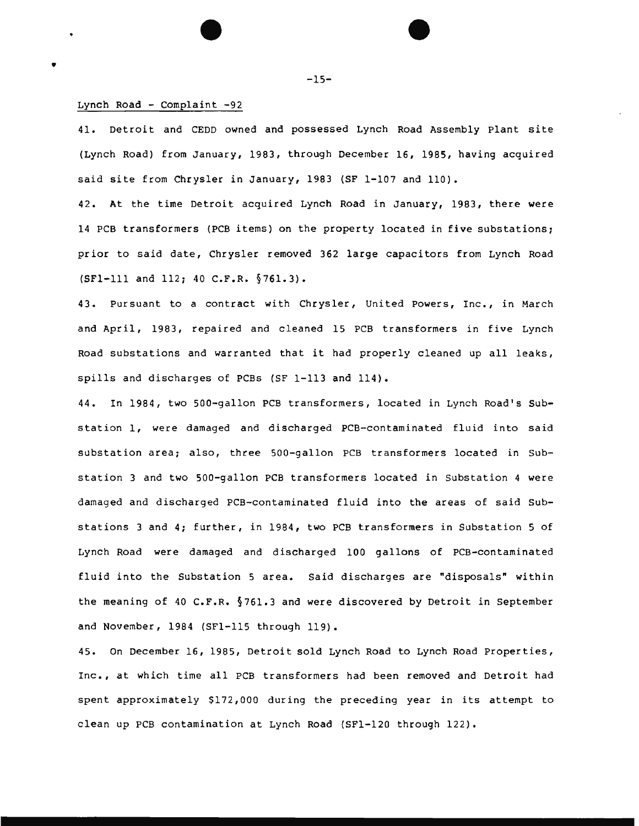#### Lynch Road - Complaint -92

•

41. Detroit and CEDD owned and possessed Lynch Road Assembly Plant site (Lynch Road) from January, 1983, through December 16, 1985, having acquired said site from Chrysler in January, 1983 (SF 1-107 and 110).

42. At the time Detroit acquired Lynch Road in January, 1983, there were 14 PCB transformers (PCB items) on the property located in five substations; prior to said date, Chrysler removed 362 large capacitors from Lynch Road (SFl-111 and 112; 40 C.F.R. §761.3).

43. Pursuant to a contract with Chrysler, United Powers, Inc., in March and April, 1983, repaired and cleaned 15 PCB transformers in five Lynch Road substations and warranted that it had properly cleaned up all leaks, spills and discharges of PCBs (SF 1-113 and 114).

44. In 1984, two 500-gallon PCB transformers, located in Lynch Road's Substation l, were damaged and discharged PCB-contaminated fluid into said substation area; also, three 500-gallon PCB transformers located in Substation 3 and two 500-gallon PCB transformers located in Substation 4 were damaged and discharged PCB-contaminated fluid into the areas of said Substations 3 and 4; further, in 1984, two PCB transformers in Substation 5 of Lynch Road were damaged and discharged 100 gallons of PCB-contaminated fluid into the Substation 5 area. Said discharges are "disposals" within the meaning of 40 C.F.R.  $\S$ 761.3 and were discovered by Detroit in September and November, 1984 (SF1-ll5 through 119).

45. On December 16, 1985, Detroit sold Lynch Road to Lynch Road Properties, Inc., at which time all PCB transformers had been removed and Detroit had spent approximately \$172,000 during the preceding year in its attempt to clean up PCB contamination at Lynch Road (SFl-120 through 122).

-15-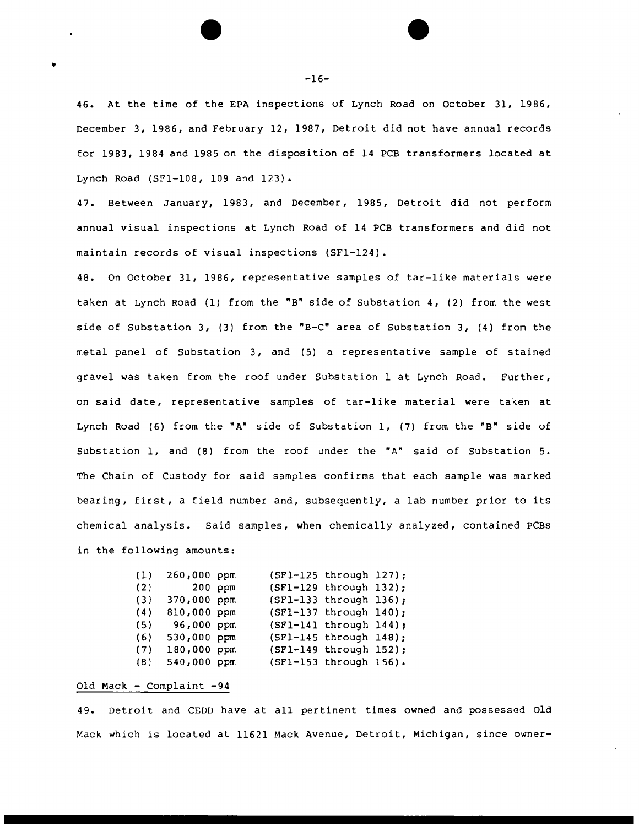46. At the time of the EPA inspections of Lynch Road on October 31, 1986, December 3, 1986, and February 12, 1987, Detroit did not have annual records for 1983, 1984 and 1985 on the disposition of 14 PCB transformers located at Lynch Road (SFl-108, 109 and 123).

47. Between January, 1983, and December, 1985, Detroit did not perform annual visual inspections at Lynch Road of 14 PCB transformers and did not maintain records of visual inspections (SFl-124).

48. On October 31, 1986, representative samples of tar-like materials were taken at Lynch Road (1) from the "B" side of Substation 4, (2) from the west side of Substation 3, (3) from the "B-C" area of Substation 3, (4) from the metal panel of Substation 3, and (5) a representative sample of stained gravel was taken from the roof under Substation 1 at Lynch Road. Further, on said date, representative samples of tar-like material were taken at Lynch Road (6) from the "A" side of Substation 1, (7) from the "B" side of Substation 1, and (8) from the roof under the "A" said of Substation 5. The Chain of Custody for said samples confirms that each sample was marked bearing, first, a field number and, subsequently, a lab number prior to its chemical analysis. Said samples, when chemically analyzed, contained PCBs in the following amounts:

| (1) | 260,000 ppm | $(SF1-125$ through $127$ ); |  |
|-----|-------------|-----------------------------|--|
| (2) | 200 ppm     | $(SF1-129$ through $132$ ); |  |
| (3) | 370,000 ppm | (SF1-133 through 136);      |  |
| (4) | 810,000 ppm | $(SF1-137$ through $140$ ;  |  |
| (5) | 96,000 ppm  | $(SF1-141$ through $144$ ); |  |
| (6) | 530,000 ppm | (SF1-145 through 148);      |  |
| (7) | 180,000 ppm | $(SF1-149$ through $152)$ ; |  |
| (8) | 540,000 ppm | (SF1-153 through 156).      |  |

#### Old Mack - Complaint -94

•

49. Detroit and CEDD have at all pertinent times owned and possessed Old Mack which is located at 11621 Mack Avenue, Detroit, Michigan, since owner-

-16-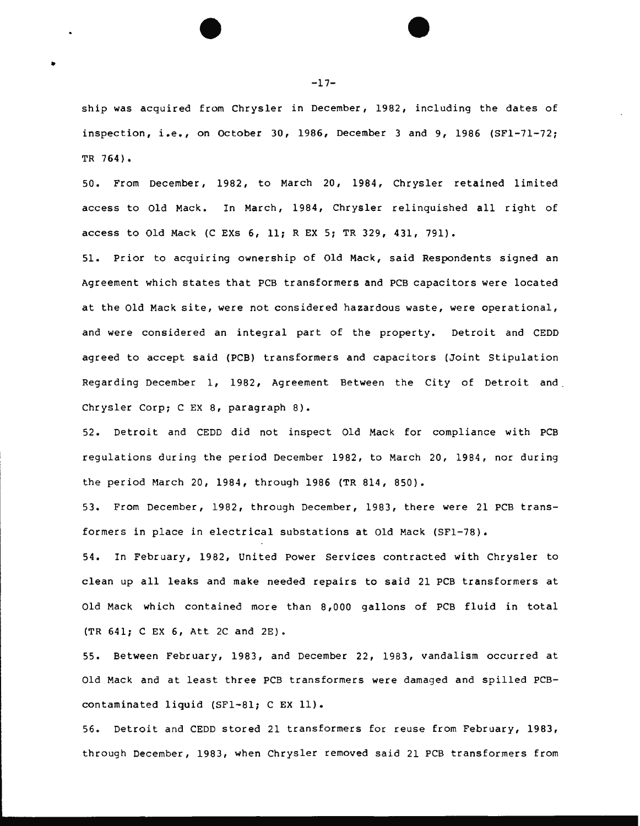ship was acquired from Chrysler in December, 1982, including the dates of inspection, i.e., on October 30, 1986, December 3 and 9, 1986 (SF1-71-72; TR 764).

50. From December, 1982, to March 20, 1984, Chrysler retained limited access to Old Mack. In March, 1984, Chrysler relinquished all right of access to Old Mack (C EXs 6, 11; REX 5; TR 329, 431, 791).

51. Prior to acquiring ownership of Old Mack, said Respondents signed an Agreement which states that PCB transformers and PCB capacitors were located at the Old Mack site, were not considered hazardous waste, were operational, and were considered an integral part of the property. Detroit and CEDD agreed to accept said (PCB) transformers and capacitors (Joint Stipulation Regarding December 1, 1982, Agreement Between the City of Detroit and . Chrysler Corp; C EX 8, paragraph 8).

52. Detroit and CEDD did not inspect Old Mack for compliance with PCB regulations during the period December 1982, to March 20, 1984, nor during the period March 20, 1984, through 1986 (TR 814, 850).

53. From December, 1982, through December, 1983, there were 21 PCB transformers in place in electrical substations at Old Mack (SFl-78).

54. In February, 1982, United Power Services contracted with Chrysler to clean up all leaks and make needed repairs to said 21 PCB transformers at Old Mack which contained more than 8,000 gallons of PCB fluid in total (TR 641; C EX 6, Att 2C and 2E).

55. Between February, 1983, and December 22, 1983, vandalism occurred at Old Mack and at least three PCB transformers were damaged and spilled PCBcontaminated liquid (SFl-81; C EX 11).

56. Detroit and CEDD stored 21 transformers for reuse from February, 1983, through December, 1983, when Chrysler removed said 21 PCB transformers from

-17-

 $\begin{array}{ccc} \cdot & \bullet & \bullet \end{array}$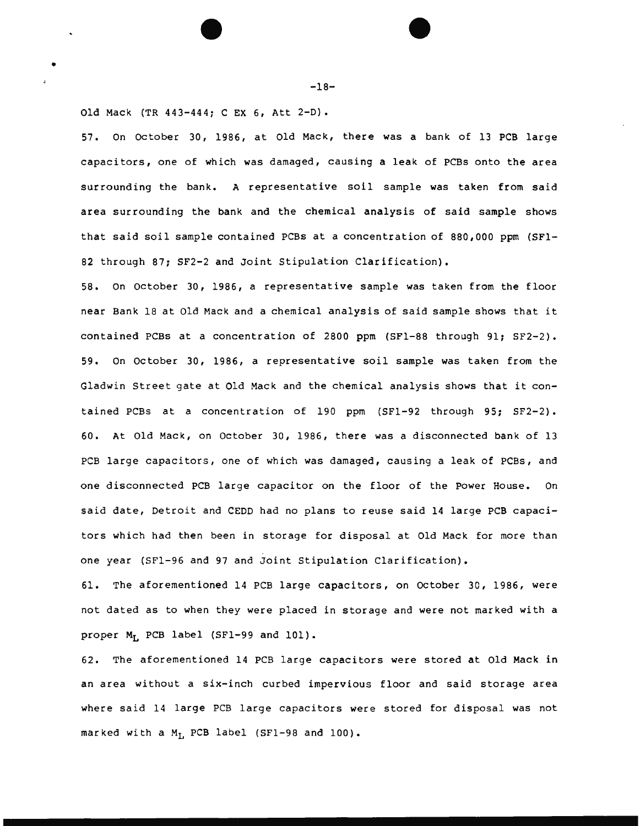0ld Mack (TR 443-444; C EX 6, Att 2-D).

•

•

57. On October 30, 1986, at Old Mack, there was a bank of 13 PCB large capacitors, one of which was damaged, causing a leak of PCBs onto the area surrounding the bank. A representative soil sample was taken from said area surrounding the bank and the chemical analysis of said sample shows that said soil sample contained PCBs at a concentration of 880,000 ppm (SFl-82 through 87; SF2-2 and Joint Stipulation Clarification).

58. On October 30, 1986, a representative sample was taken from the floor near Bank 18 at Old Mack and a chemical analysis of said sample shows that it contained PCBs at a concentration of 2800 ppm (SFl-88 through 91; SF2-2). 59. On October 30, 1986, a representative soil sample was taken from the Gladwin Street gate at Old Mack and the chemical analysis shows that it contained PCBs at a concentration of 190 ppm (SFl-92 through 95; SF2-2). 60. At Old Mack, on October 30, 1986, there was a disconnected bank of 13 PCB large capacitors, one of which was damaged, causing a leak of PCBs, and one disconnected PCB large capacitor on the floor of the Power House. On said date, Detroit and CEDD had no plans to reuse said 14 large PCB capacitors which had then been in storage for disposal at Old Mack for more than one year (SFl-96 and 97 and Joint Stipulation Clarification).

61. The aforementioned 14 PCB large capacitors, on October 30, 1986, were not dated as to when they were placed in storage and were not marked with a proper  $M_T$  PCB label (SF1-99 and 101).

62. The aforementioned 14 PCB large capacitors were stored at Old Mack in an area without a six-inch curbed impervious floor and said storage area where said 14 large PCB large capacitors were stored for disposal was not marked with a  $M_L$  PCB label (SF1-98 and 100).

-18-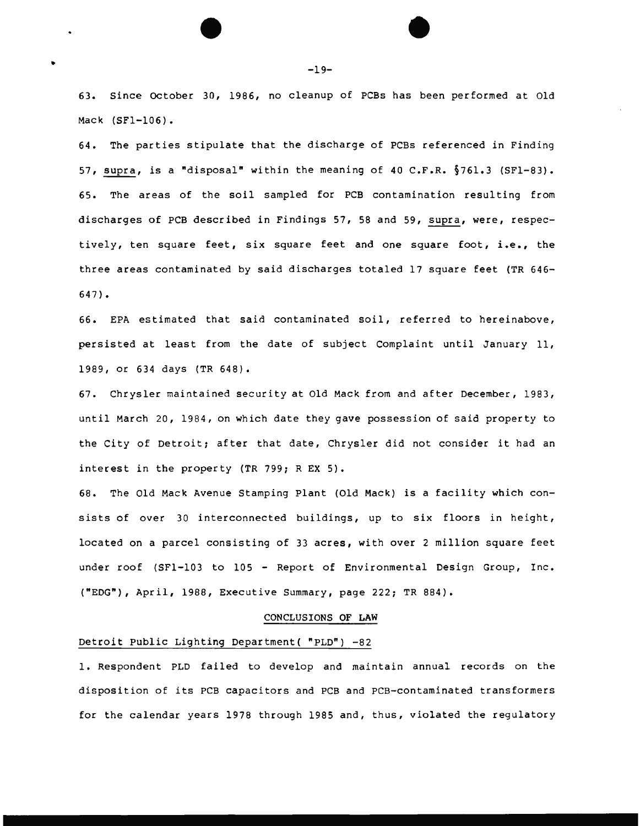63. Since October 30, 1986, no cleanup of PCBs has been performed at Old Mack (SFl-106).

64. The parties stipulate that the discharge of PCBs referenced in Finding 57, supra, is a "disposal" within the meaning of 40 C.F.R. §761.3 (SFl-83). 65. The areas of the soil sampled for PCB contamination resulting from discharges of PCB described in Findings 57, 58 and 59, supra, were, respectively, ten square feet, six square feet and one square foot, i.e., the three areas contaminated by said discharges totaled 17 square feet (TR 646-  $647$ .

66. EPA estimated that said contaminated soil, referred to hereinabove, persisted at least from the date of subject Complaint until January 11, 1989, or 634 days (TR 648).

67. Chrysler maintained security at Old Mack from and after December, 1983, until March 20, 1984, on which date they gave possession of said property to the City of Detroit; after that date, Chrysler did not consider it had an interest in the property (TR 799; REX 5).

68. The Old Mack Avenue Stamping Plant (Old Mack) is a facility which consists of over 30 interconnected buildings, up to six floors in height, located on a parcel consisting of 33 acres, with over 2 million square feet under roof (SFl-103 to 105 - Report of Environmental Design Group, Inc. ("EDG"), April, 1988, Executive Summary, page 222; TR 884).

#### CONCLUSIONS OF LAW

# Detroit Public Lighting Department( "PLD") -82

1. Respondent PLD failed to develop and maintain annual records on the disposition of its PCB capacitors and PCB and PCB-contaminated transformers for the calendar years 1978 through 1985 and, thus, violated the regulatory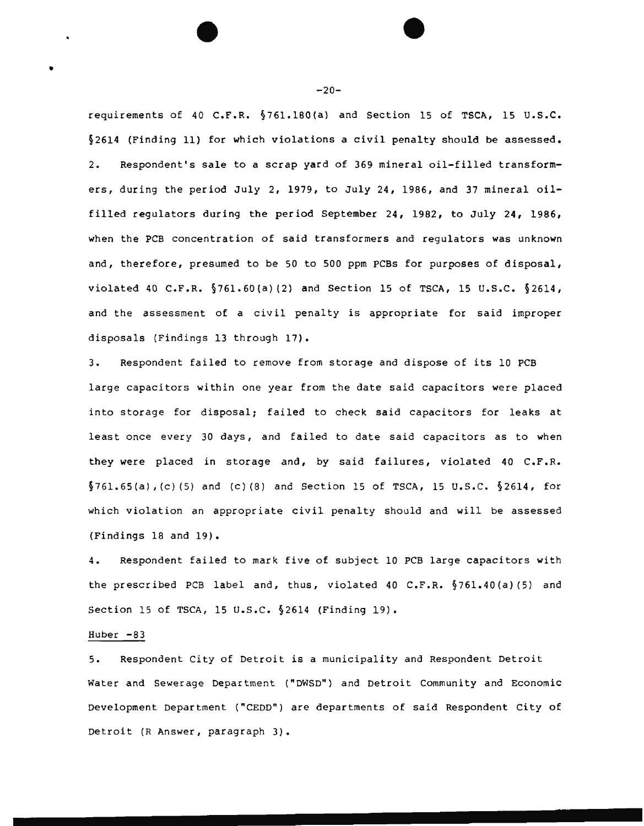requirements of 40 C.F.R. §761.1BO(a) and Section 15 of TSCA, 15 u.s.c. §2614 (Finding 11) for which violations a civil penalty should be assessed. 2. Respondent's sale to a scrap yard of 369 mineral oil-filled transformers, during the period July 2, 1979, to July 24, 1986, and 37 mineral oilfilled regulators during the period September 24, 1982, to July 24, 1986, when the PCB concentration of said transformers and regulators was unknown and, therefore, presumed to be 50 to 500 ppm PCBs for purposes of disposal, violated 40 C.F.R.  $$761.60(a) (2)$  and Section 15 of TSCA, 15 U.S.C.  $$2614$ , and the assessment of a civil penalty is appropriate for said improper disposals (Findings 13 through 17).

3. Respondent failed to remove from storage and dispose of its 10 PCB large capacitors within one year from the date said capacitors were placed into storage for disposal; failed to check said capacitors for leaks at least once every 30 days, and failed to date said capacitors as to when they were placed in storage and, by said failures, violated 40 C.F.R.  $$761.65(a)$ , (c) (5) and (c) (8) and Section 15 of TSCA, 15 U.S.C.  $$2614$ , for which violation an appropriate civil penalty should and will be assessed (Findings 18 and 19).

4. Respondent failed to mark five of subject 10 PCB large capacitors with the prescribed PCB label and, thus, violated 40 C.F.R. §76l.40(a) (5) and Section 15 of TSCA, 15 U.S.C. §2614 (Finding 19).

#### $Huber -83$

•

5. Respondent City of Detroit is a municipality and Respondent Detroit Water and Sewerage Department ("DWSD") and Detroit Community and Economic Development Department ("CEDD") are departments of said Respondent City of Detroit (R Answer, paragraph 3).

 $-20-$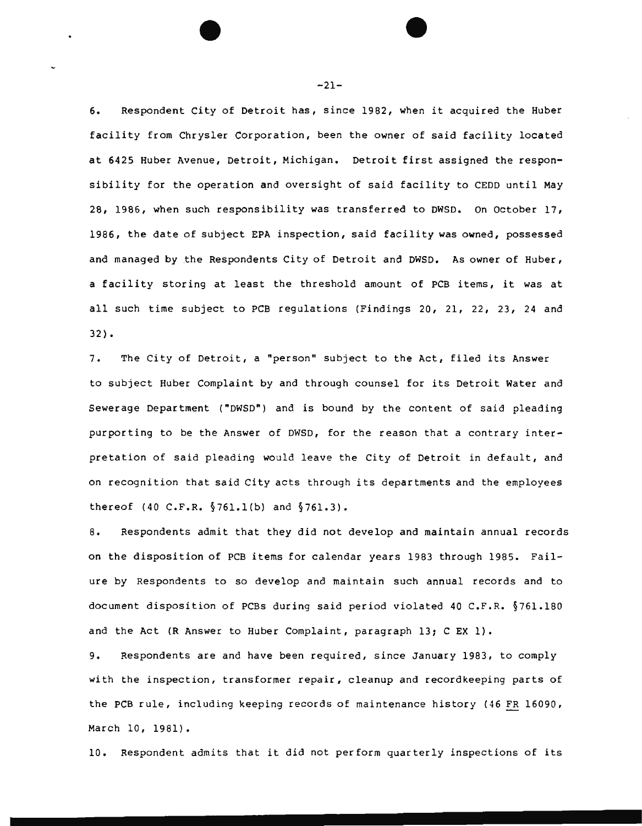6. Respondent City of Detroit has, since 1982, when it acquired the Huber facility from Chrysler Corporation, been the owner of said facility located at 6425 Huber Avenue, Detroit, Michigan. Detroit first assigned the responsibility for the operation and oversight of said facility to CEDD until May 28, 1986, when such responsibility was transferred to DWSD. On October 17, 1986, the date of subject EPA inspection, said facility was owned, possessed and managed by the Respondents City of Detroit and DWSD. As owner of Huber, a facility storing at least the threshold amount of PCB items, it was at all such time subject to PCB regulations (Findings 20, 21, 22, 23, 24 and 32).

7. The City of Detroit, a "person" subject to the Act, filed its Answer to subject Huber Complaint by and through counsel for its Detroit Water and Sewerage Department ("DWSD") and is bound by the content of said pleading purporting to be the Answer of DWSD, for the reason that a contrary interpretation of said pleading would leave the City of Detroit in default, and on recognition that said City acts through its departments and the employees thereof (40 C.F.R.  $$761.1(b)$  and  $$761.3$ ).

8. Respondents admit that they did not develop and maintain annual records on the disposition of PCB items for calendar years 1983 through 1985. Failure by Respondents to so develop and maintain such annual records and to document disposition of PCBs during said period violated 40 C.F.R. §761.180 and the Act (R Answer to Huber Complaint, paragraph 13; C EX 1).

9. Respondents are and have been required, since January 1983, to comply with the inspection, transformer repair, cleanup and recordkeeping parts of the PCB rule, including keeping records of maintenance history (46 FR 16090, March 10, 1981).

10. Respondent admits that it did not perform quarterly inspections of its

-21-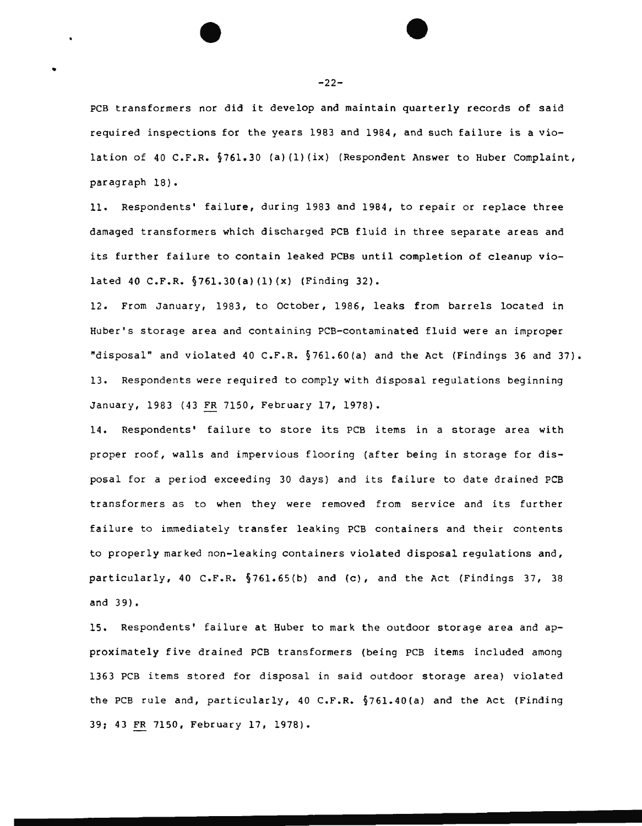PCB transformers nor did it develop and maintain quarterly records of said required inspections for the years 1983 and 1984, and such failure is a violation of 40 C.F.R. §761.30 (a) (1) (ix) (Respondent Answer to Huber Complaint, paragraph 18).

11. Respondents' failure, during 1983 and 1984, to repair or replace three damaged transformers which discharged PCB fluid in three separate areas and its further failure to contain leaked PCBs until completion of cleanup violated 40 C.F.R. §761. 30 (a) (1) (x) (Finding 32).

12. From January, 1983, to October, 1986, leaks from barrels located in Huber's storage area and containing PCB-contaminated fluid were an improper "disposal" and violated 40 C.F.R. §761.60(a) and the Act (Findings 36 and 37). 13. Respondents were required to comply with disposal regulations beginning January, 1983 (43 FR 7150, February 17, 1978).

14. Respondents' failure to store its PCB items in a storage area with proper roof, walls and impervious flooring (after being in storage for disposal for a period exceeding 30 days) and its failure to date drained PCB transformers as to when they were removed from service and its further failure to immediately transfer leaking PCB containers and their contents to properly marked non-leaking containers violated disposal regulations and, particularly, 40 C.F.R. §76L65(b) and (c), and the Act (Findings 37, 38 and 39).

15. Respondents' failure at Huber to mark the outdoor storage area and approximately five drained PCB transformers (being PCB items included among 1363 PCB items stored for disposal in said outdoor storage area) violated the PCB rule and, particularly, 40 C.F.R. §761.40(a) and the Act (Finding *39:* 43 FR 7150, February 17, 1978).

-22-

 $\begin{array}{ccc} \cdot & \bullet & \bullet \end{array}$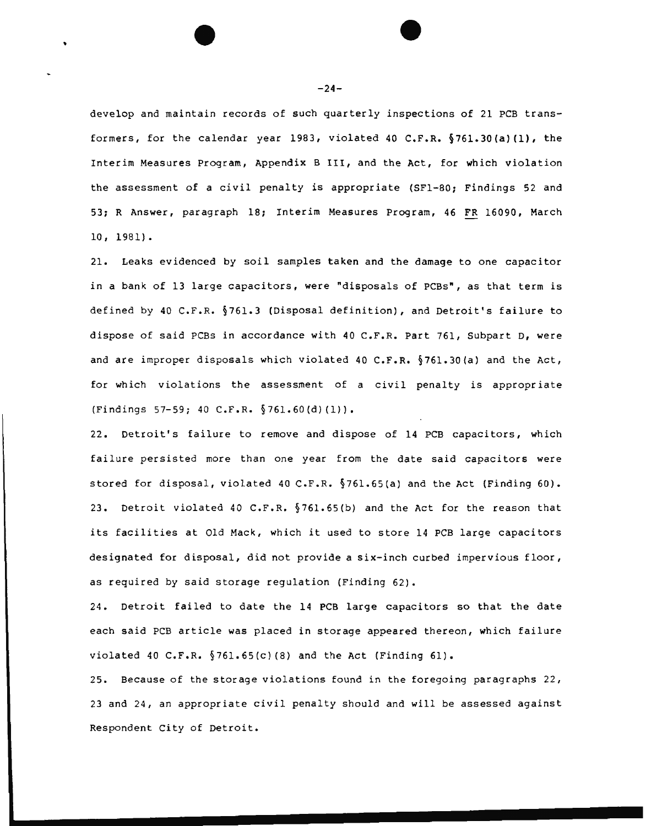develop and maintain records of such quarterly inspections of 21 PCB transformers, for the calendar year 1983, violated 40 C.F.R. §761.30(a) (1), the Interim Measures Program, Appendix B III, and the Act, for which violation the assessment of a civil penalty is appropriate (SF1-80; Findings 52 and 53; R Answer, paragraph 18; Interim Measures Program, 46 FR 16090, March 10, 1981).

21. Leaks evidenced by soil samples taken and the damage to one capacitor in a bank of 13 large capacitors, were "disposals of PCBs", as that term is defined by 40 C.F.R. §761.3 (Disposal definition), and Detroit's failure to dispose of said PCBs in accordance with 40 C.F.R. Part 761, Subpart D, were and are improper disposals which violated 40 C.F.R. §761.30(a) and the Act, for which violations the assessment of a civil penalty is appropriate (Findings 57-59; 40 C.F.R. §761.60(d) (1)).

22. Detroit's failure to remove and dispose of 14 PCB capacitors, which failure persisted more than one year from the date said capacitors were stored for disposal, violated 40 C.F.R. §761.65(a) and the Act (Finding 60). 23. Detroit violated 40 C.F.R. §761.65(b) and the Act for the reason that its facilities at Old Mack, which it used to store 14 PCB large capacitors designated for disposal, did not provide a six-inch curbed impervious floor, as required by said storage regulation (Finding 62).

24. Detroit failed to date the 14 PCB large capacitors so that the date each said PCB article was placed in storage appeared thereon, which failure violated 40 C.F.R.  $§761.65(c)(8)$  and the Act (Finding 61).

25. Because of the storage violations found in the foregoing paragraphs 22, 23 and 24, an appropriate civil penalty should and will be assessed against Respondent City of Detroit.

 $-24-$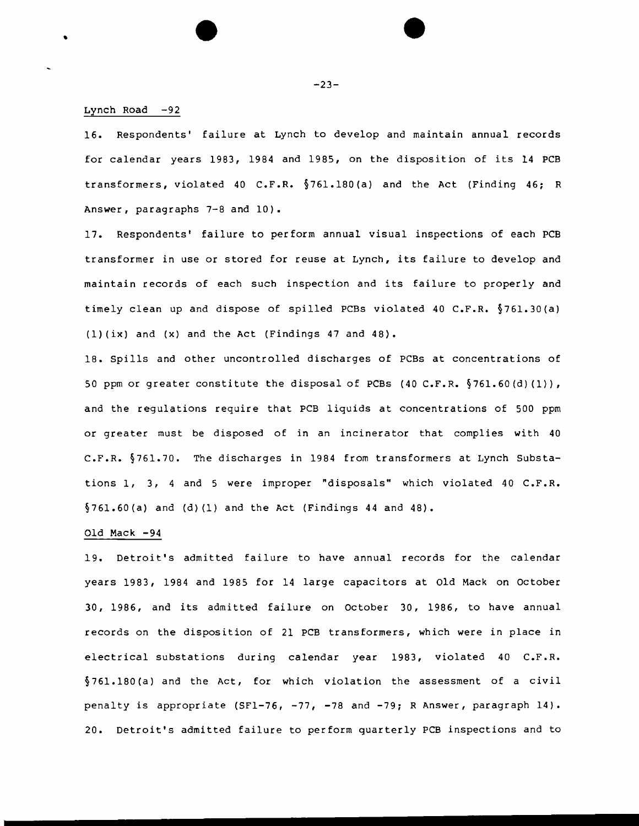### Lynch Road  $-92$

16. Respondents' failure at Lynch to develop and maintain annual records for calendar years 1983, 1984 and 1985, on the disposition of its 14 PCB transformers, violated 40 C.F.R. §761.180(a) and the Act (Finding 46; R Answer, paragraphs 7-8 and 10).

17. Respondents' failure to perform annual visual inspections of each PCB transformer in use or stored for reuse at Lynch, its failure to develop and maintain records of each such inspection and its failure to properly and timely clean up and dispose of spilled PCBs violated 40 C.F.R. §761.30(a) (1) (ix) and (x) and the Act (Findings 47 and 48).

18. Spills and other uncontrolled discharges of PCBs at concentrations of 50 ppm or greater constitute the disposal of PCBs  $(40 C. F.R. \S 761.60(d)(1))$ , and the regulations require that PCB liquids at concentrations of 500 ppm or greater must be disposed of in an incinerator that complies with 40 C.F.R. §761.70. The discharges in 1984 from transformers at Lynch Substations 1, 3, 4 and 5 were improper "disposals" which violated 40 C.F.R.  $§761.60 (a)$  and  $(d) (1)$  and the Act (Findings 44 and 48).

#### Old Mack -94

19. Detroit's admitted failure to have annual records for the calendar years 1983, 1984 and 1985 for 14 large capacitors at Old Mack on October 30, 1986, and its admitted failure on October 30, 1986, to have annual records on the disposition of 21 PCB transformers, which were in place in electrical substations during calendar year 1983, violated 40 C.F.R. §761.180(a) and the Act, for which violation the assessment of a civil penalty is appropriate (SFl-76, -77, -78 and -79; R Answer, paragraph 14). 20. Detroit's admitted failure to perform quarterly PCB inspections and to

-23-

 $\bullet$   $\bullet$   $\bullet$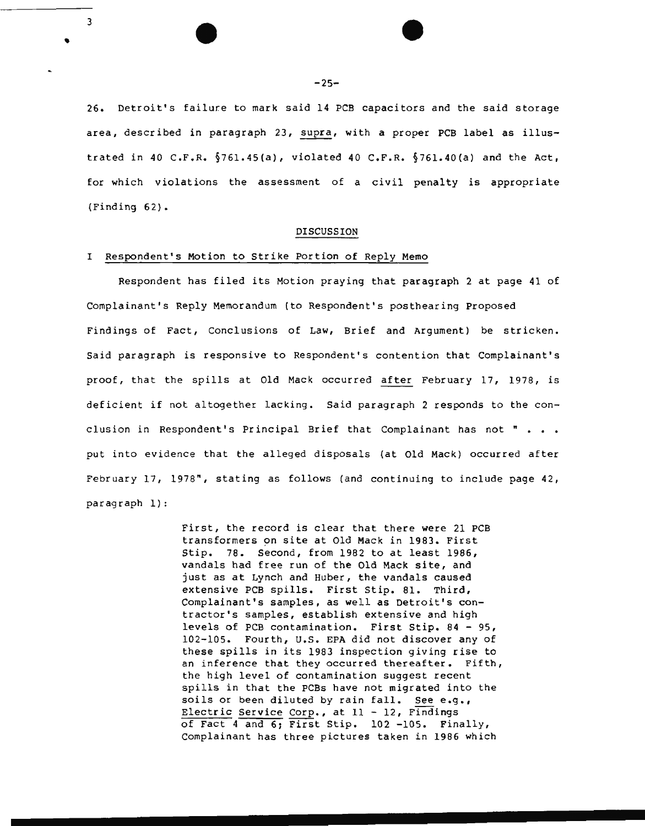26. Detroit's failure to mark said 14 PCB capacitors and the said storage area, described in paragraph 23, supra, with a proper PCB label as illustrated in 40 C.F.R.  $$761.45(a)$ , violated 40 C.F.R.  $$761.40(a)$  and the Act, for which violations the assessment of a civil penalty is appropriate  $(Finding 62)$ .

#### DISCUSSION

#### I Respondent's Motion to Strike Portion of Reply Memo

 $\frac{1}{3}$ 

•

Respondent has filed its Motion praying that paragraph 2 at page 41 of Complainant's Reply Memorandum (to Respondent's posthearing Proposed Findings of Fact, Conclusions of Law, Brief and Argument) be stricken. Said paragraph is responsive to Respondent's contention that Complainant's proof, that the spills at Old Mack occurred after February 17, 1978, is deficient if not altogether lacking. Said paragraph 2 responds to the conclusion in Respondent's Principal Brief that Complainant has not  $" . . .$ put into evidence that the alleged disposals (at Old Mack) occurred after February 17, 1978", stating as follows (and continuing to include page 42, paragraph 1):

> First, the record is clear that there were 21 PCB transformers on site at Old Mack in 1983. First Stip. 78. second, from 1982 to at least 1986, vandals had free run of the Old Mack site, and just as at Lynch and Huber, the vandals caused extensive PCB spills. First Stip. 81. Third, Complainant's samples, as well as Detroit's contractor's samples, establish extensive and high levels of PCB contamination. First Stip. 84 - 95, 102-105. Fourth, u.s. EPA did not discover any of these spills in its 1983 inspection giving rise to an inference that they occurred thereafter. Fifth, the high level of contamination suggest recent spills in that the PCBs have not migrated into the soils or been diluted by rain fall. See e.g., Electric Service Corp., at 11 - 12, Findings of Fact 4 and 6; First Stip. 102 -105. Finally, Complainant has three pictures taken in 1986 which

 $-25-$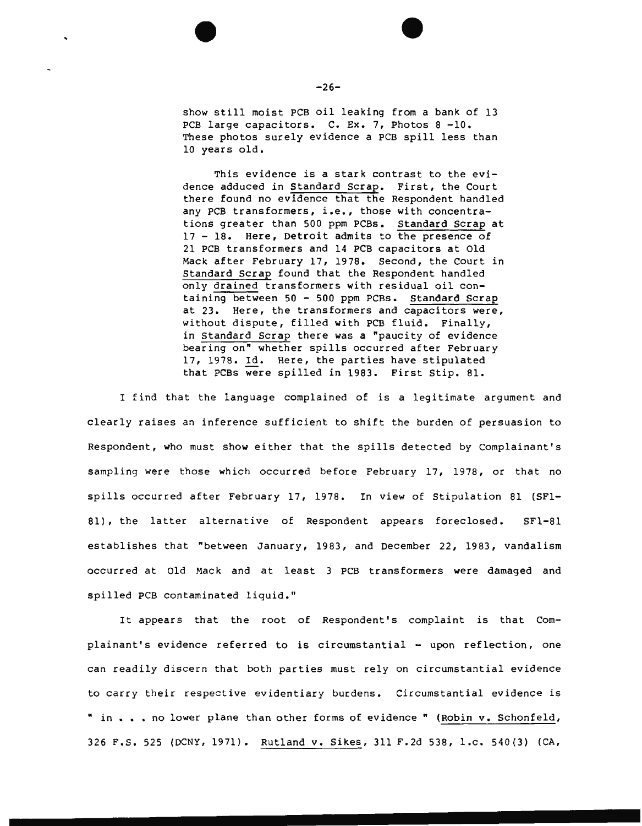$\bullet$ 

show still moist PCB oil leaking from a bank of 13 PCB large capacitors. C. Ex. 7, Photos 8 -10. These photos surely evidence a PCB spill less than 10 years old.

This evidence is a stark contrast to the evidence adduced in Standard Scrap. First, the Court there found no evidence that the Respondent handled any PCB transformers, i.e., those with concentrations greater than 500 ppm PCBs. Standard Scrap at 17 - 18. Here, Detroit admits to the presence of 21 PCB transformers and 14 PCB capacitors at Old Mack after February 17, 1978. Second, the Court in Standard Scrap found that the Respondent handled only drained transformers with residual oil containing between 50 - 500 ppm PCBs. Standard Scrap at 23. Here, the transformers and capacitors were, without dispute, filled with PCB fluid. Finally, in Standard Scrap there was a "paucity of evidence bearing on" whether spills occurred after February 17, 1978. Id. Here, the parties have stipulated that PCBs were spilled in 1983. First Stip. 81.

I find that the language complained of is a legitimate argument and clearly raises an inference sufficient to shift the burden of persuasion to Respondent, who must show either that the spills detected by Complainant's sampling were those which occurred before February 17, 1978, or that no spills occurred after February 17, 1978. In view of Stipulation 81 (SFl-81), the latter alternative of Respondent appears foreclosed. SF1-81 establishes that "between January, 1983, and December 22, 1983, vandalism occurred at Old Mack and at least 3 PCB transformers were damaged and spilled PCB contaminated liquid."

It appears that the root of Respondent's complaint is that Complainant's evidence referred to is circumstantial - upon reflection, one can readily discern that both parties must rely on circumstantial evidence to carry their respective evidentiary burdens. Circumstantial evidence is " in . . . no lower plane than other forms of evidence " (Robin v. Schonfeld, 326 F.S. 525 (DCNY, 1971). Rutland v. Sikes, 311 F.2d 538, l.c. 540(3) (CA,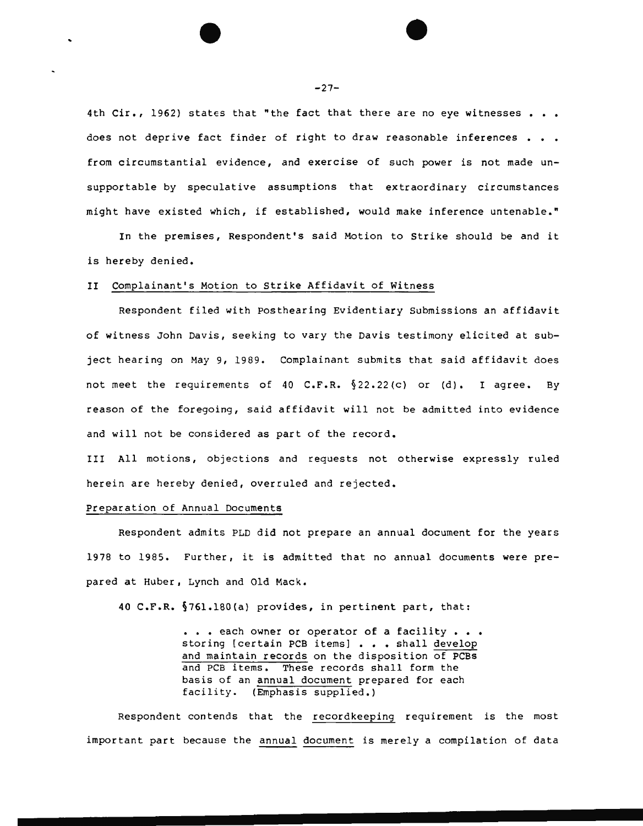4th Cir., 1962) states that "the fact that there are no eye witnesses . . . does not deprive fact finder of right to draw reasonable inferences  $\ldots$ from circumstantial evidence, and exercise of such power is not made unsupportable by speculative assumptions that extraordinary circumstances might have existed which, if established, would make inference untenable."

In the premises, Respondent's said Motion to Strike should be and it is hereby denied.

#### II Complainant's Motion to Strike Affidavit of Witness

Respondent filed with Posthearing Evidentiary submissions an affidavit of witness John Davis, seeking to vary the Davis testimony elicited at subject hearing on May 9, 1989. Complainant submits that said affidavit does not meet the requirements of 40 C.F.R. §22.22(c) or (d). I agree. By reason of the foregoing, said affidavit will not be admitted into evidence and will not be considered as part of the record.

III All motions, objections and requests not otherwise expressly ruled herein are hereby denied, overruled and rejected.

#### Preparation of Annual Documents

Respondent admits PLD did not prepare an annual document for the years 1978 to 1985. Further, it is admitted that no annual documents were prepared at Huber, Lynch and Old Mack.

40 C.F.R. §761.180(a) provides, in pertinent part, that:

... each owner or operator of a facility ... storing [certain PCB items] . . . shall develop and maintain records on the disposition of PCBs and PCB items. These records shall form the basis of an annual document prepared for each facility. (Emphasis supplied.)

Respondent contends that the recordkeeping requirement is the most important part because the annual document is merely a compilation of data

 $-27-$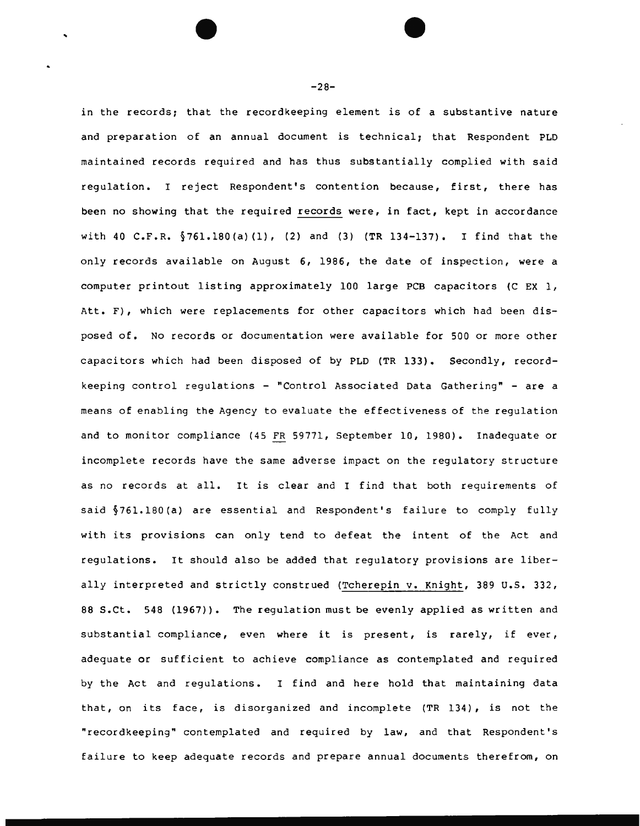in the records; that the recordkeeping element is of a substantive nature and preparation of an annual document is technical; that Respondent PLD maintained records required and has thus substantially complied with said regulation. I reject Respondent's contention because, first, there has been no showing that the required records were, in fact, kept in accordance with 40 C.F.R.  $\S 761.180(a) (1)$ , (2) and (3) (TR 134-137). I find that the only records available on August 6, 1986, the date of inspection, were a computer printout listing approximately 100 large PCB capacitors (C EX 1, Att. F), which were replacements for other capacitors which had been disposed of. No records or documentation were available for 500 or more other capacitors which had been disposed of by PLD (TR 133). Secondly, recordkeeping control regulations - "Control Associated Data Gathering" - are a means of enabling the Agency to evaluate the effectiveness of the regulation and to monitor compliance (45 FR 59771, September 10, 1980). Inadequate or incomplete records have the same adverse impact on the regulatory structure as no records at all. It is clear and I find that both requirements of said  $§761.180$  (a) are essential and Respondent's failure to comply fully with its provisions can only tend to defeat the intent of the Act and regulations. It should also be added that regulatory provisions are liberally interpreted and strictly construed (Tcherepin v. Knight, 389 u.s. 332, 88 s.ct. 548 (1967)). The regulation must be evenly applied as written and substantial compliance, even where it is present, is rarely, if ever, adequate or sufficient to achieve compliance as contemplated and required by the Act and regulations. I find and here hold that maintaining data that, on its face, is disorganized and incomplete (TR 134), is not the "recordkeeping" contemplated and required by law, and that Respondent's failure to keep adequate records and prepare annual documents therefrom, on

-28-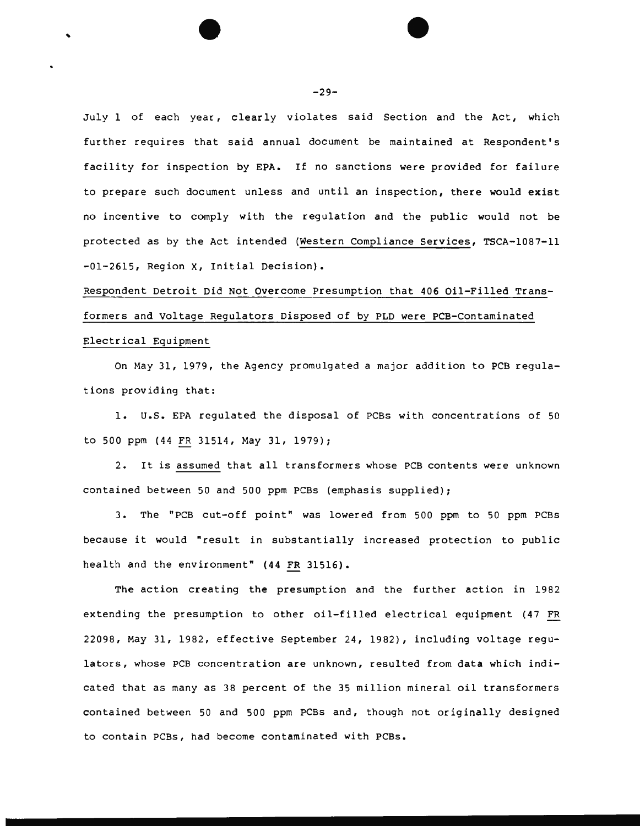July 1 of each year, clearly violates said Section and the Act, which further requires that said annual document be maintained at Respondent's facility for inspection by EPA. If no sanctions were provided for failure to prepare such document unless and until an inspection, there would exist no incentive to comply with the regulation and the public would not be protected as by the Act intended (Western Compliance Services, TSCA-1087-11 -01-2615, Region X, Initial Decision).

# Respondent Detroit Did Not Overcome Presumption that 406 Oil-Filled Transformers and Voltage Regulators Disposed of by PLD were PCB-Contaminated Electrical Equipment

On May 31, 1979, the Agency promulgated a major addition to PCB regulations providing that:

1. u.s. EPA regulated the disposal of PCBs with concentrations of 50 to 500 ppm (44 FR 31514, May 31, 1979);

2. It is assumed that all transformers whose PCB contents were unknown contained between 50 and 500 ppm PCBs (emphasis supplied);

3. The "PCB cut-off point" was lowered from 500 ppm to 50 ppm PCBs because it would "result in substantially increased protection to public health and the environment" (44 FR 31516).

The action creating the presumption and the further action in 1982 extending the presumption to other oil-filled electrical equipment (47 FR 22098, May 31, 1982, effective September 24, 1982), including voltage regulators, whose PCB concentration are unknown, resulted from data which indicated that as many as 38 percent of the 35 million mineral oil transformers contained between 50 and 500 ppm PCBs and, though not originally designed to contain PCBs, had become contaminated with PCBs.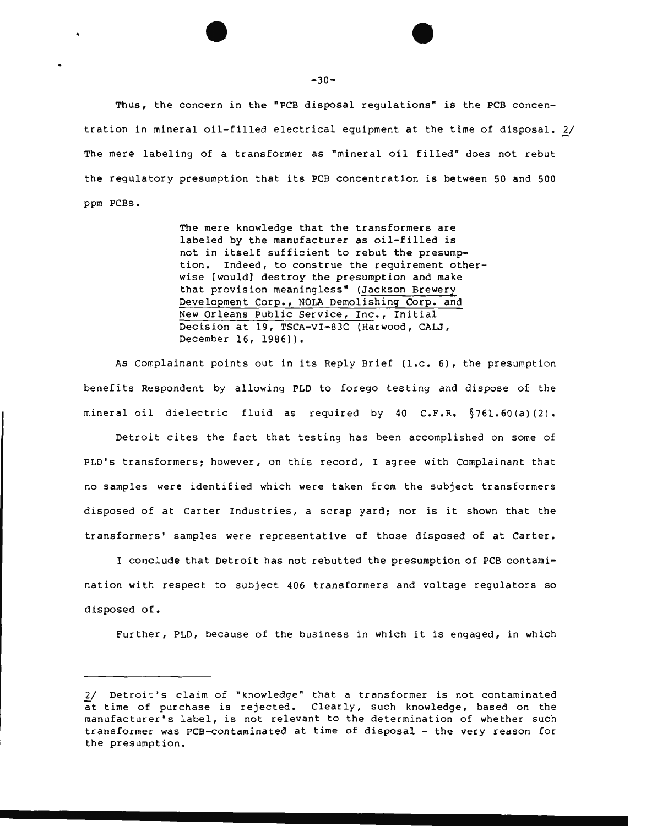Thus, the concern in the "PCB disposal regulations" is the PCB concentration in mineral oil-filled electrical equipment at the time of disposal. 2/ The mere labeling of a transformer as "mineral oil filled" does not rebut the regulatory presumption that its PCB concentration is between 50 and 500 ppm PCBs.

> The mere knowledge that the transformers are labeled by the manufacturer as oil-filled is not in itself sufficient to rebut the presumption. Indeed, to construe the requirement otherwise {would] destroy the presumption and make that provision meaningless" (Jackson Brewery Development Corp., NOLA Demolishing Corp. and New Orleans Public Service, Inc., Initial Decision at 19, TSCA-VI-83C (Harwood, CALJ, December 16, 1986)),

As Complainant points out in its Reply Brief (l.c. 6), the presumption benefits Respondent by allowing PLD to forego testing and dispose of the mineral oil dielectric fluid as required by 40 C.F.R, §761.60(a) (2).

Detroit cites the fact that testing has been accomplished on some of PLD's transformers; however, on this record, I agree with Complainant that no samples were identified which were taken from the subject transformers disposed of at Carter Industries, a scrap yard; nor is it shown that the transformers' samples were representative of those disposed of at Carter.

I conclude that Detroit has not rebutted the presumption of PCB contamination with respect to subject 406 transformers and voltage regulators so disposed of.

Further, PLD, because of the business in which it is engaged, in which

 $\bullet$  $-30-$ 

<sup>2/</sup> Detroit's claim of "knowledge" that a transformer is not contaminated at time of purchase is rejected. Clearly, such knowledge, based on the manufacturer's label, is not relevant to the determination of whether such transformer was PCB-contaminated at time of disposal - the very reason for the presumption.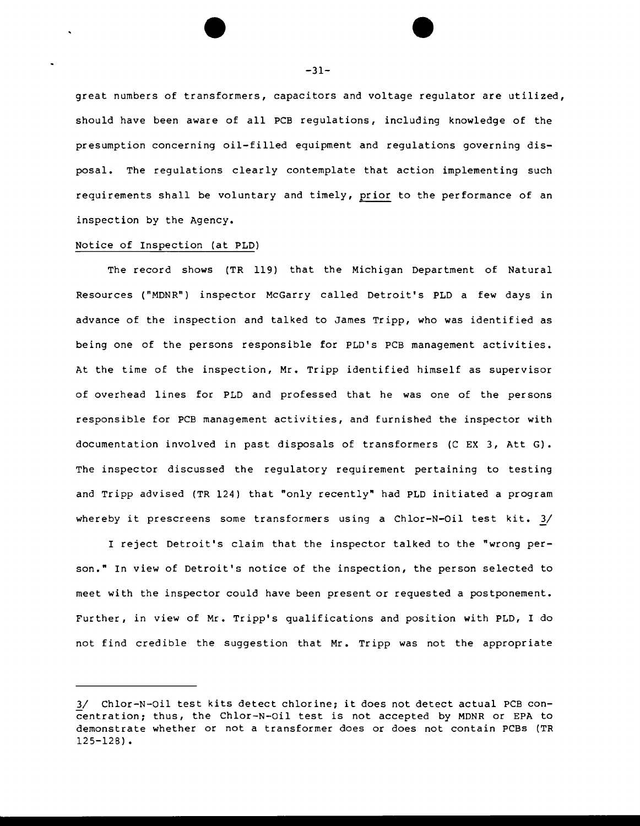great numbers of transformers, capacitors and voltage regulator are utilized, should have been aware of all PCB regulations, including knowledge of the presumption concerning oil-filled equipment and regulations governing disposal. The regulations clearly contemplate that action implementing such requirements shall be voluntary and timely, prior to the performance of an inspection by the Agency.

#### Notice of Inspection (at PLD)

The record shows (TR 119) that the Michigan Department of Natural Resources ( "MDNR") inspector McGarry called Detroit's PLD a few days in advance of the inspection and talked to James Tripp, who was identified as being one of the persons responsible for PLD's PCB management activities. At the time of the inspection, Mr. Tripp identified himself as supervisor of overhead lines for PLD and professed that he was one of the persons responsible for PCB management activities, and furnished the inspector with documentation involved in past disposals of transformers (C EX 3, Att G). The inspector discussed the regulatory requirement pertaining to testing and Tripp advised {TR 124) that "only recently" had PLD initiated a program whereby it prescreens some transformers using a Chlor-N-Oil test kit. *}./* 

I reject Detroit's claim that the inspector talked to the "wrong person." In view of Detroit's notice of the inspection, the person selected to meet with the inspector could have been present or requested a postponement. Further, in view of Mr. Tripp's qualifications and position with PLD, I do not find credible the suggestion that Mr. Tripp was not the appropriate

 $\bullet$   $\bullet$ -31-

<sup>3/</sup> Chlor-N-Oil test kits detect chlorine; it does not detect actual PCB concentration; thus, the Chlor-N-Oil test is not accepted by MDNR or EPA to demonstrate whether or not a transformer does or does not contain PCBs (TR 125-128).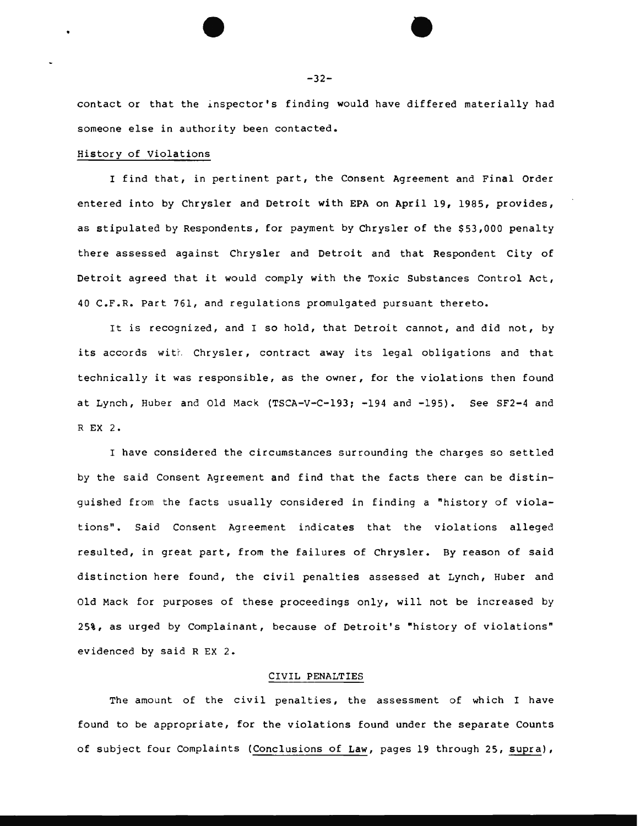contact or that the inspector's finding would have differed materially had someone else in authority been contacted.

#### History of Violations

I find that, in pertinent part, the Consent Agreement and Final Order entered into by Chrysler and Detroit with EPA on April 19, 1985, provides, as stipulated by Respondents, for payment by Chrysler of the \$53,000 penalty there assessed against Chrysler and Detroit and that Respondent City of Detroit agreed that it would comply with the Toxic Substances Control Act, 40 C.F.R. Part 761, and regulations promulgated pursuant thereto.

It is recognized, and I so hold, that Detroit cannot, and did not, by its accords with Chrysler, contract away its legal obligations and that technically it was responsible, as the owner, for the violations then found at Lynch, Huber and Old Mack (TSCA-V-C-193: -194 and -195). See SF2-4 and R EX 2.

I have considered the circumstances surrounding the charges so settled by the said Consent Agreement and find that the facts there can be distinguished from the facts usually considered in finding a "history of violations". Said Consent Agreement indicates that the violations alleged resulted, in great part, from the failures of Chrysler. By reason of said distinction here found, the civil penalties assessed at Lynch, Huber and Old Mack for purposes of these proceedings only, will not be increased by 25%, as urged by Complainant, because of Detroit's "history of violations" evidenced by said R EX 2.

#### CIVIL PENALTIES

The amount of the civil penalties, the assessment of which I have found to be appropriate, for the violations found under the separate Counts of subject four Complaints (Conclusions of Law, pages 19 through 25, supra),

 $-32-$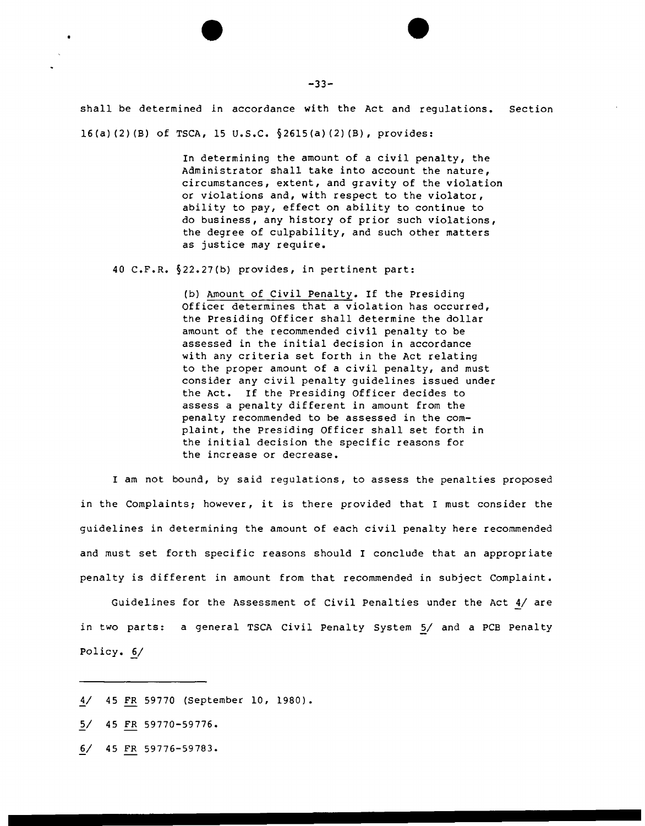shall be determined *in* accordance with the Act and regulations. Section 16(a) (2) (B) of TSCA, 15 u.s.c. §2615(a) (2) (B), provides:

> In determining the amount of a civil penalty, the Administrator shall take into account the nature, circumstances, extent, and gravity of the violation or violations and, with respect to the violator, ability to pay, effect on ability to continue to do business, any history of prior such violations, the degree of culpability, and such other matters as justice may require.

40 C.F.R. §22.27(b) provides, in pertinent part:

(b) Amount of Civil Penalty. If the Presiding Officer determines that a violation has occurred, the Presiding Officer shall determine the dollar amount of the recommended civil penalty to be assessed in the initial decision in accordance with any criteria set forth in the Act relating to the proper amount of a civil penalty, and must consider any civil penalty guidelines issued under the Act. If the Presiding Officer decides to assess a penalty different in amount from the penalty recommended to be assessed in the complaint, the Presiding Officer shall set forth in the initial decision the specific reasons for the increase or decrease.

I am not bound, by said regulations, to assess the penalties proposed in the Complaints; however, it is there provided that I must consider the guidelines in determining the amount of each civil penalty here recommended and must set forth specific reasons should I conclude that an appropriate penalty is different in amount from that recommended in subject Complaint.

Guidelines for the Assessment of Civil Penalties under the Act *if* are in two parts: a general TSCA Civil Penalty System 5/ and a PCB Penalty Policy. 6/

- ~/ 45 FR 59770-59776.
- 6/ 45 FR 59776-59783.

*<sup>..</sup> Y* 45 FR 59770 (September 10, 1980).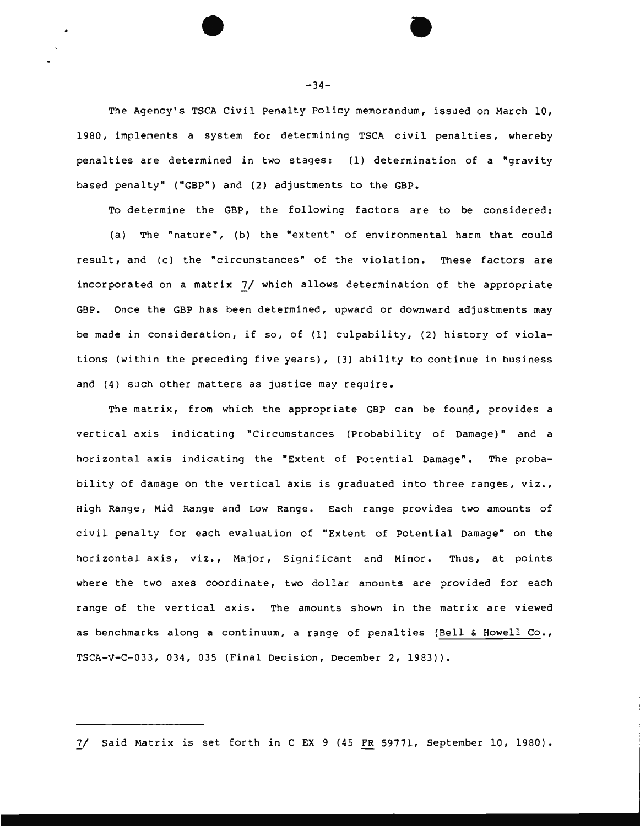The Agency's TSCA Civil Penalty Policy memorandum, issued on March 10, 1980, implements a system for determining TSCA civil penalties, whereby penalties are determined in two stages: (l) determination of a "gravity based penalty" ("GBP") and (2) adjustments to the GBP.

To determine the GBP, the following factors are to be considered: (a) The "nature", {b) the "extent" of environmental harm that could result, and (c) the "circumstances" of the violation. These factors are incorporated on a matrix *21* which allows determination of the appropriate GBP. Once the GBP has been determined, upward or downward adjustments may be made in consideration, if so, of (1) culpability, {2) history of violations (within the preceding five years), (3) ability to continue in business and (4) such other matters as justice may require.

The matrix, from which the appropriate GBP can be found, provides a vertical axis indicating "Circumstances (Probability of Damage)" and a horizontal axis indicating the "Extent of Potential Damage". The probability of damage on the vertical axis is graduated into three ranges, viz., High Range, Mid Range and Low Range. Each range provides two amounts of civil penalty for each evaluation of "Extent of Potential Damage" on the horizontal axis, viz., Major, Significant and Minor. Thus, at points where the two axes coordinate, two dollar amounts are provided for each range of the vertical axis. The amounts shown in the matrix are viewed as benchmarks along a continuum, a range of penalties {Bell & Howell Co., TSCA-V-C-033, 034, 035 (Final Decision, December 2, 1983)).

*21* Said Matrix is set forth inC EX 9 (45 FR 59771, September 10, 1980).

-34-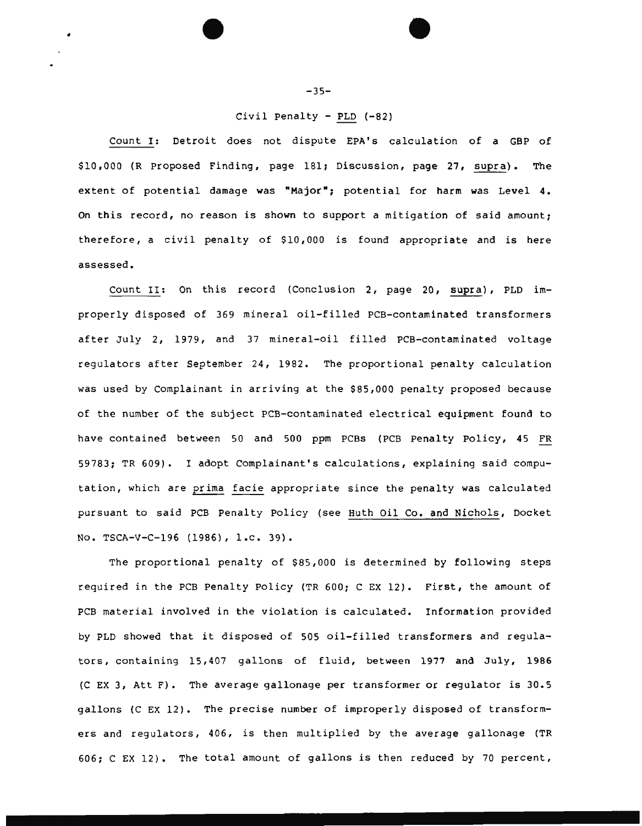# Civil Penalty - PLD  $(-82)$

Count I: Detroit does not dispute EPA's calculation of a GBP of \$10,000 (R Proposed Finding, page 181; Discussion, page 27, supra). The extent of potential damage was "Major"; potential for harm was Level 4. On this record, no reason is shown to support a mitigation of said amount; therefore, a civil penalty of \$10,000 is found appropriate and is here assessed.

Count II: On this record (Conclusion 2, page 20, supra), PLD improperly disposed of 369 mineral oil-filled PCB-contaminated transformers after July 2, 1979, and 37 mineral-oil filled PCB-contaminated voltage regulators after September 24, 1982. The proportional penalty calculation was used by Complainant in arriving at the \$85,000 penalty proposed because of the number of the subject PCB-contaminated electrical equipment found to have contained between 50 and 500 ppm PCBs (PCB Penalty Policy, 45 FR 59783; TR 609). I adopt Complainant's calculations, explaining said computation, which are prima facie appropriate since the penalty was calculated pursuant to said PCB Penalty Policy (see Huth Oil Co. and Nichols, Docket No. TSCA-V-C-196 (1986), l.c. 39).

The proportional penalty of \$85,000 is determined by following steps required in the PCB Penalty Policy (TR 600; c EX 12). First, the amount of PCB material involved in the violation is calculated. Information provided by PLD showed that it disposed of 505 oil-filled transformers and regulators, containing 15,407 gallons of fluid, between 1977 and July, 1986 (C EX 3, Att F). The average gallonage per transformer or regulator is 30.5 gallons (C EX 12). The precise number of improperly disposed of transformers and regulators, 406, is then multiplied by the average gallonage (TR 606; c EX 12). The total amount of gallons is then reduced by 70 percent,

-35-

 $\bullet$   $\bullet$   $\bullet$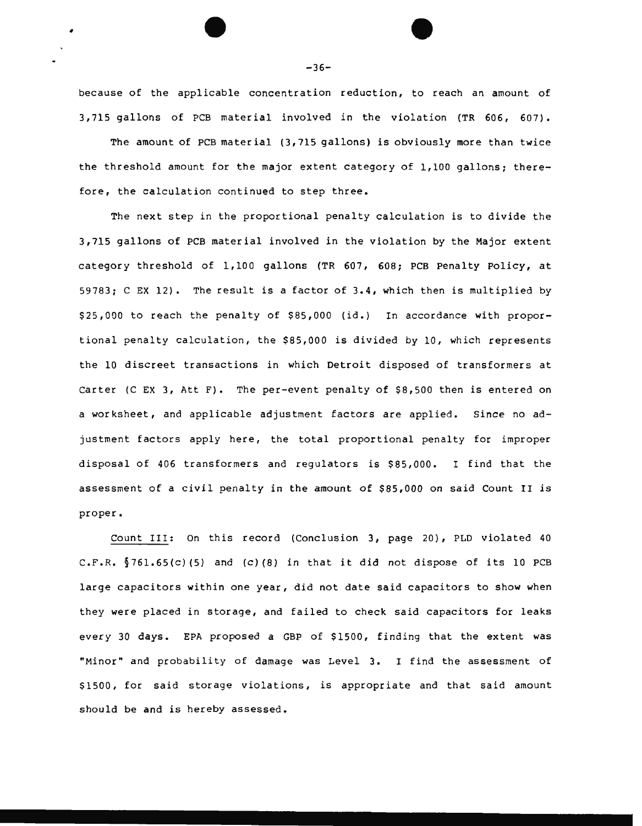because of the applicable concentration reduction, to reach an amount of 3,715 gallons of PCB material involved in the violation (TR 606, 607).

The amount of PCB material (3,715 gallons) is obviously more than twice the threshold amount for the major extent category of 1,100 gallons; therefore, the calculation continued to step three.

The next step in the proportional penalty calculation is to divide the 3,715 gallons of PCB material involved in the violation by the Major extent category threshold of 1,100 gallons (TR 607, 608; PCB Penalty Policy, at 59783; *C* EX 12). The result is a factor of 3.4, which then is multiplied by \$25,000 to reach the penalty of \$85,000 (id.) In accordance with propertional penalty calculation, the \$85,000 is divided by 10, which represents the 10 discreet transactions in which Detroit disposed of transformers at Carter (C EX 3, Att F). The per-event penalty of \$8,500 then is entered on a worksheet, and applicable adjustment factors are applied. Since no adjustment factors apply here, the total proportional penalty for improper disposal of 406 transformers and regulators is \$85,000. I find that the assessment of a civil penalty in the amount of \$85,000 on said Count II is proper.

Count III: On this record (Conclusion 3, page 20), PLD violated 40 C.F.R.  $§761.65(c)$  (5) and (c) (8) in that it did not dispose of its 10 PCB large capacitors within one year, did not date said capacitors to show when they were placed in storage, and failed to check said capacitors for leaks every 30 days. EPA proposed a GBP of \$1500, finding that the extent was "Minor" and probability of damage was Level 3. I find the assessment of \$1500, for said storage violations, is appropriate and that said amount should be and is hereby assessed.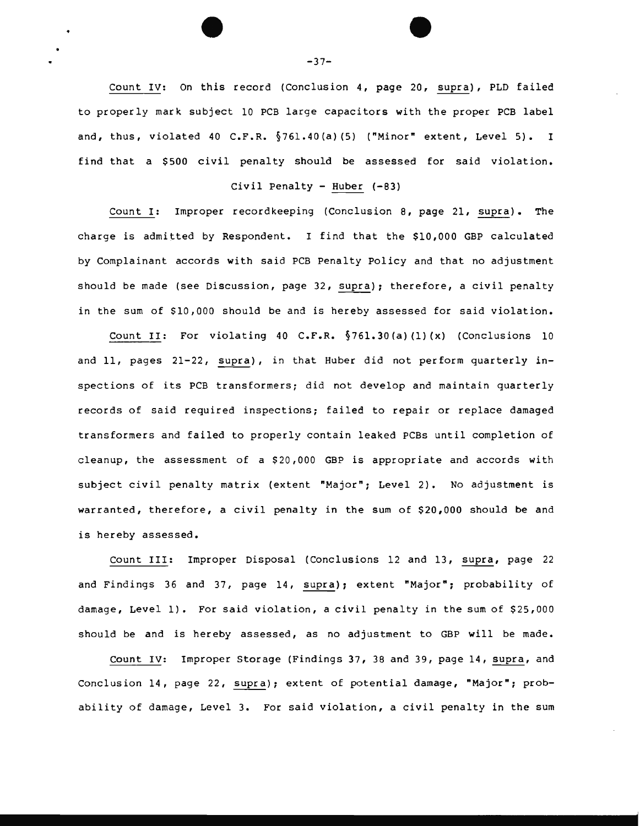Count IV: On this record (Conclusion 4, page 20, supra), PLD failed to properly mark subject 10 PCB large capacitors with the proper PCB label and, thus, violated 40 C.F.R. §76l.40(a)(5) ("Minor" extent, Level 5). I find that a \$500 civil penalty should be assessed for said violation.

# Civil Penalty - Huber  $(-83)$

Count I: Improper recordkeeping (Conclusion 8, page 21, supra). The charge is admitted by Respondent. I find that the \$10,000 GBP calculated by Complainant accords with said PCB Penalty Policy and that no adjustment should be made (see Discussion, page 32, supra); therefore, a civil penalty in the sum of \$10,000 should be and is hereby assessed for said violation.

Count II: For violating 40 C.F.R.  $\S$ 761.30(a)(1)(x) (Conclusions 10 and 11, pages 21-22, supra), in that Huber did not perform quarterly inspections of its PCB transformers; did not develop and maintain quarterly records of said required inspections; failed to repair or replace damaged transformers and failed to properly contain leaked PCBs until completion of cleanup, the assessment of a \$20,000 GBP is appropriate and accords with subject civil penalty matrix (extent "Major"; Level 2). No adjustment is warranted, therefore, a civil penalty in the sum of \$20,000 should be and is hereby assessed.

Count III: Improper Disposal (Conclusions 12 and 13, supra, page 22 and Findings 36 and 37, page 14, supra); extent "Major"; probability of damage, Level 1). For said violation, a civil penalty in the sum of \$25,000 should be and is hereby assessed, as no adjustment to GBP will be made.

Count IV: Improper Storage (Findings 37, 38 and 39, page 14, supra, and Conclusion 14, page 22, supra); extent of potential damage, "Major"; probability of damage, Level 3. For said violation, a civil penalty in the sum

 $-37-$ 

•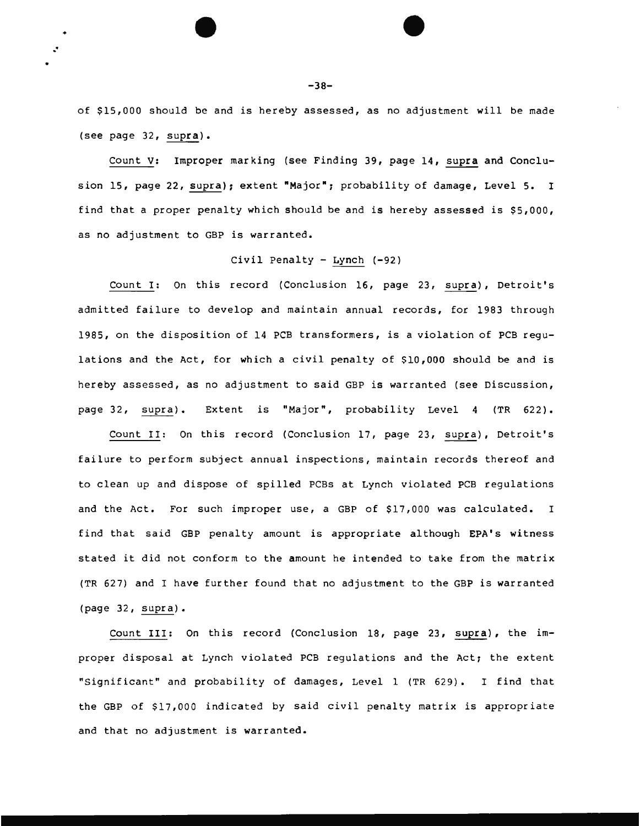of \$15,000 should be and is hereby assessed, as no adjustment will be made (see page 32, supra).

Count V: Improper marking (see Finding 39, page 14, supra and Conclusion 15, page 22, supra); extent "Major"; probability of damage, Level 5. I find that a proper penalty which should be and is hereby assessed is \$5,000, as no adjustment to GBP is warranted.

# Civil Penalty - Lynch (-92)

Count I: On this record (Conclusion 16, page 23, supra), Detroit's admitted failure to develop and maintain annual records, for 1983 through 1985, on the disposition of 14 PCB transformers, is a violation of PCB regulations and the Act, for which a civil penalty of \$10,000 should be and is hereby assessed, as no adjustment to said GBP is warranted (see Discussion, page 32, supra). Extent is "Major", probability Level 4 (TR 622).

Count II: On this record (Conclusion 17, page 23, supra), Detroit's failure to perform subject annual inspections, maintain records thereof and to clean up and dispose of spilled PCBs at Lynch violated PCB regulations and the Act. For such improper use, *a* GBP of \$17,000 was calculated. I find that said GBP penalty amount is appropriate although EPA's witness stated it did not conform to the amount he intended to take from the matrix (TR 627) and I have further found that no adjustment to the GBP is warranted (page 32, supra).

Count III: On this record (Conclusion 18, page 23, supra), the improper disposal at Lynch violated PCB regulations and the Act; the extent "Significant" and probability of damages, Level 1 (TR 629). I find that the GBP of \$17,000 indicated by said civil penalty matrix is appropriate and that no adjustment is warranted.

 $\bullet$   $\bullet$   $\bullet$ 

. .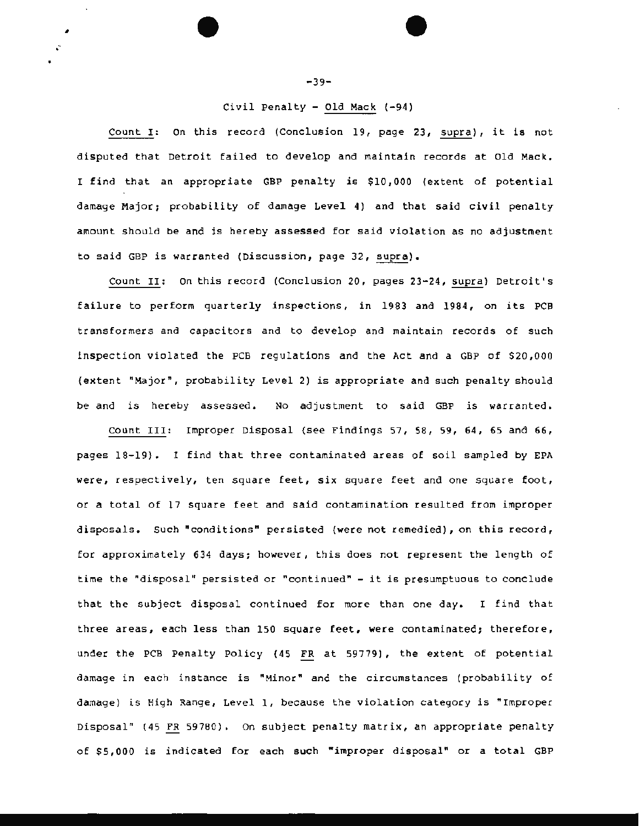# Civil Penalty - Old Mack (-94)

Count I: On this record (Conclusion 19, page 23, supra), it is not disputed that Detroit failed to develop and maintain records at Old Mack. I find that an appropriate GBP penalty is \$10,000 (extent of potential damage Major; probability of damage Level 4) and that said civil penalty amount should be and is hereby assessed for said violation as no adjustment to said GBP is warranted (Discussion, page 32, supra).

Count II: On this record (Conclusion 20, pages 23-24, supra) Detroit's failure to perform quarterly inspections, in 1983 and 1984, on its PCB transformers and capacitors and to develop and maintain records of such inspection violated the PCB regulations and the Act and a GBP of \$20,000 (extent "Major", probability Level 2) is appropriate and such penalty should be and is hereby assessed. No adjustment to said GBP is warranted.

count III: Improper Disposal (see Findings 57, 58, 59, 64, 65 and 66, pages 18-19}. I find that three contaminated areas of soil sampled by EPA were, respectively, ten square feet, six square feet and one square foot, or a total of 17 square feet and said contamination resulted from improper disposals. Such "conditions" persisted (were not remedied), on this record, for approximately 634 days; however, this does not represent the length of time the "disposal" persisted or "continued" - it is presumptuous to conclude that the subject disposal continued for more than one day. I find that three areas, each less than 150 square feet, were contaminated; therefore, under the PCB Penalty Policy (45 FR at 59779), the extent of potential damage in each instance is "Minor" and the circumstances (probability of damage) is High Range, Level 1, because the violation category is "Improper Disposal" (45 FR 59780}. On subject penalty matrix, an appropriate penalty of \$5,000 is indicated for each such "improper disposal" or a total GBP

-39-

.. . • •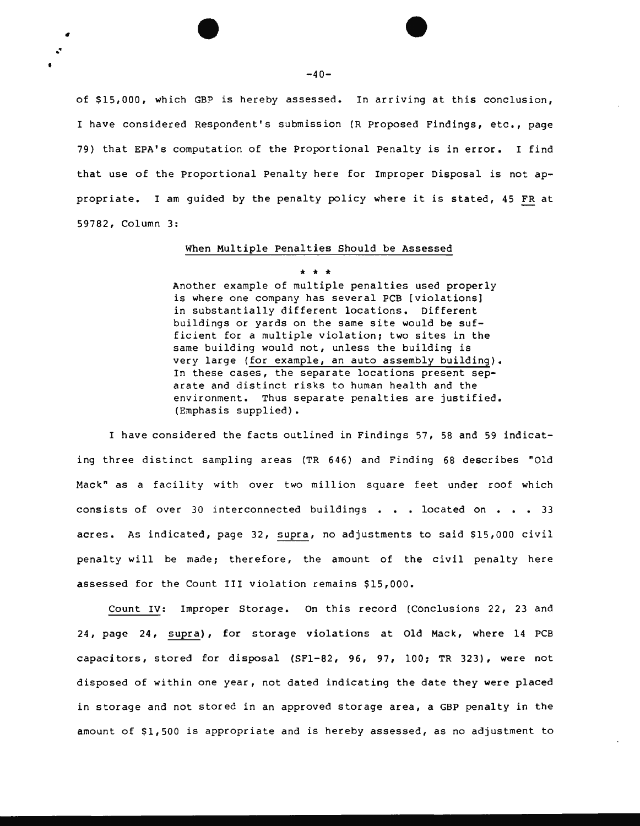of \$15,000, which GBP is hereby assessed. In arriving at this conclusion, I have considered Respondent's submission (R Proposed Findings, etc., page 79) that EPA's computation of the Proportional Penalty is in error. I find that use of the Proportional Penalty here for Improper Disposal is not appropriate. I am guided by the penalty policy where it is stated, 45 FR at 59782, Column 3:

#### When Multiple Penalties Should be Assessed

\* \* \*

Another example of multiple penalties used properly is where one company has several PCB [violations) in substantially different locations. Different buildings or yards on the same site would be sufficient for a multiple violation; two sites in the same building would not, unless the building is very large (for example, an auto assembly building). In these cases, the separate locations present separate and distinct risks to human health and the environment. Thus separate penalties are justified. (Emphasis supplied).

I have considered the facts outlined in Findings 57, 58 and 59 indicating three distinct sampling areas (TR 646) and Finding 68 describes "Old Mack" as a facility with over two million square feet under roof which consists of over 30 interconnected buildings  $\bullet$  .  $\bullet$  located on  $\bullet$  . . 33 acres. As indicated, page 32, supra, no adjustments to said \$15,000 civil penalty will be made; therefore, the amount of the civil penalty here assessed for the Count III violation remains \$15,000.

Count IV: Improper Storage. On this record (Conclusions 22, 23 and 24, page 24, supra), for storage violations at Old Mack, where 14 PCB capacitors, stored for disposal (SFl-82, 96, 97, 100; TR 323), were not disposed of within one year, not dated indicating the date they were placed in storage and not stored in an approved storage area, a GBP penalty in the amount of \$1,500 is appropriate and is hereby assessed, as no adjustment to

 $\bullet$  $-40-$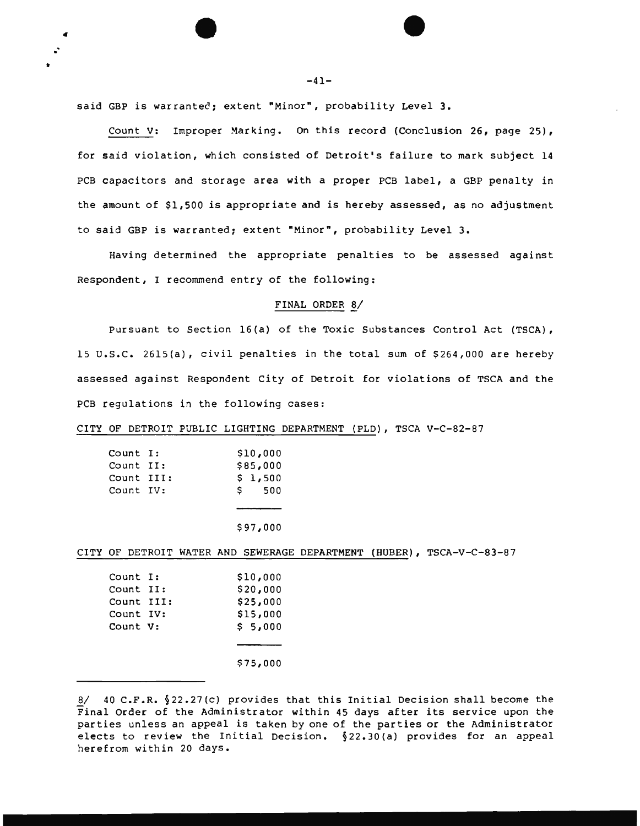#### $-41-$

said GBP is warranted; extent "Minor", probability Level 3.

 $\begin{array}{ccc} . & & \bullet & & \bullet & \bullet \ \end{array}$ 

Count V: Improper Marking. On this record (Conclusion 26, page 25), for said violation, which consisted of Detroit's failure to mark subject 14 PCB capacitors and storage area with a proper PCB label, a GBP penalty in the amount of \$1,500 is appropriate and is hereby assessed, as no adjustment to said GBP is warranted; extent "Minor", probability Level 3.

Having determined the appropriate penalties to be assessed against Respondent, I recommend entry of the following:

#### FINAL ORDER 8/

Pursuant to Section 16(a) of the Toxic Substances Control Act (TSCA), 15 u.s.c. 2615(a), civil penalties in the total sum of \$264,000 are hereby assessed against Respondent City of Detroit for violations of TSCA and the PCB regulations in the following cases:

CITY OF DETROIT PUBLIC LIGHTING DEPARTMENT (PLD), TSCA V-C-82-87

| Count I:   | \$10,000  |  |
|------------|-----------|--|
| Count II:  | \$85,000  |  |
| Count III: | \$1,500   |  |
| Count IV:  | 500<br>S. |  |
|            |           |  |

#### \$97,000

CITY OF DETROIT WATER AND SEWERAGE DEPARTMENT (HUBER) , TSCA-V-C-83-87

| Count I:   |  | \$10,000 |
|------------|--|----------|
| Count II:  |  | \$20,000 |
| Count III: |  | \$25,000 |
| Count IV:  |  | \$15,000 |
| Count V:   |  | \$5,000  |
|            |  |          |
|            |  |          |

#### \$75,000

<sup>8/ 40</sup> C.F.R. §22.27(c) provides that this Initial Decision shall become the Final Order of the Administrator within 45 days after its service upon the parties unless an appeal is taken by one of the parties or the Administrator elects to review the Initial Decision. §22.30(a) provides for an appeal herefrom within 20 days.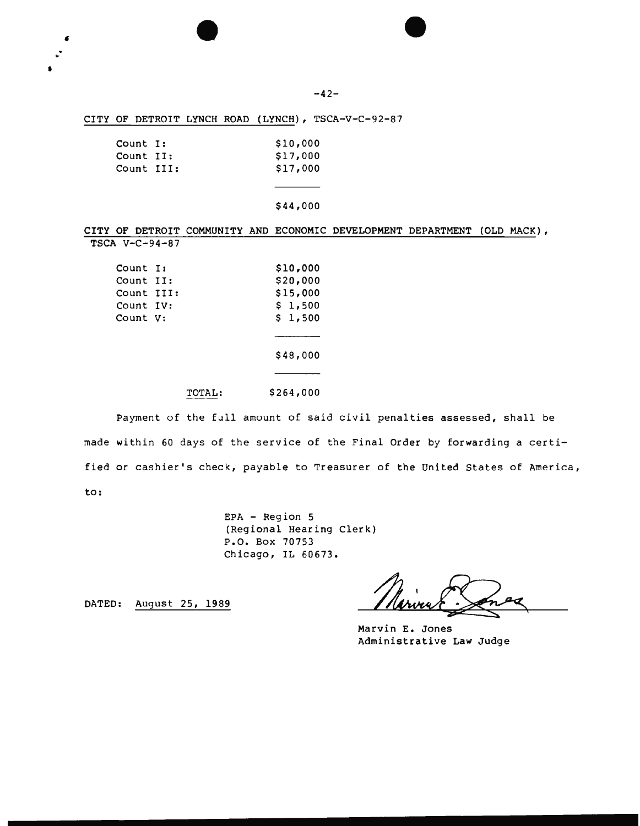#### $-42-$

# CITY OF DETROIT LYNCH ROAD (LYNCH), TSCA-V-C-92-87

| Count I:   | \$10,000 |
|------------|----------|
| Count II:  | \$17,000 |
| Count III: | \$17,000 |

•

.

\$44,000

# CITY OF DETROIT COMMUNITY AND ECONOMIC DEVELOPMENT DEPARTMENT (OLD MACK), TSCA V-C-94-87

| Count $I:$ | \$10,000 |
|------------|----------|
| Count II:  | \$20,000 |
| Count III: | \$15,000 |
| Count IV:  | \$1,500  |
| Count V:   | \$1,500  |
|            |          |

\$48,000

TOTAL: \$264,000

Payment of the full amount of said civil penalties assessed, shall be made within 60 days of the service of the Final Order by forwarding a certified or cashier's check, payable to Treasurer of the United States of America, to:

> EPA - Region 5 (Regional Hearing Clerk) P.O. Box 70753 Chicago, IL 60673.

DATED: August 25, 1989

Marvin E. Jones Administrative Law Judge

 $\mathbf{e}$  .  $\bullet$   $\bullet$   $\bullet$   $\bullet$